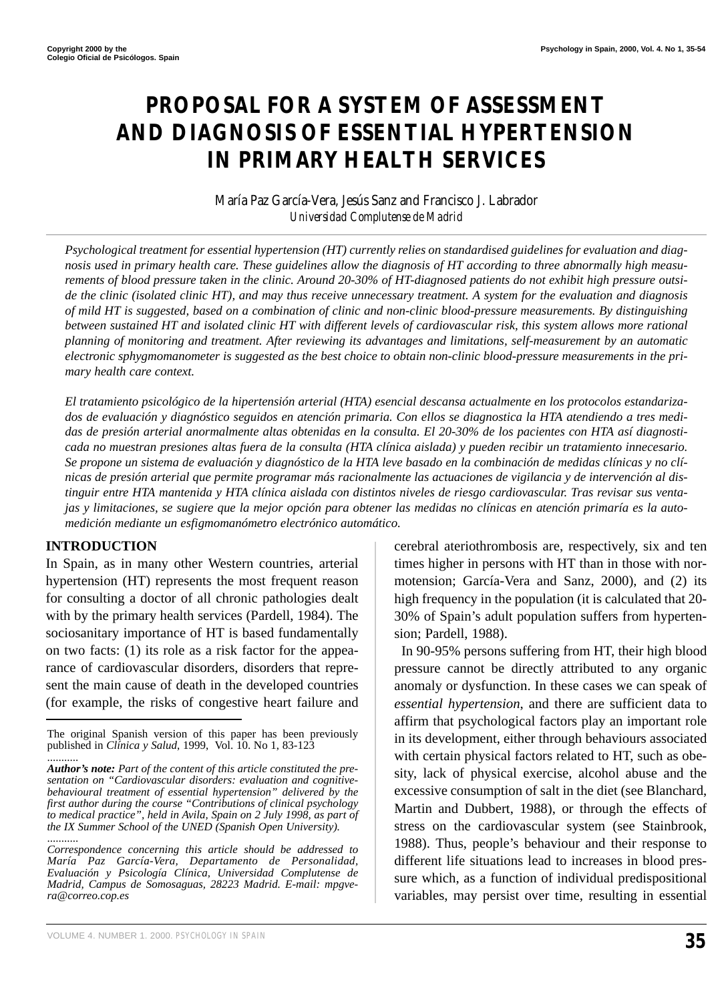# **PROPOSAL FOR A SYSTEM OF ASSESSMENT AND DIAGNOSIS OF ESSENTIAL HYPERTENSION IN PRIMARY HEALTH SERVICES**

#### María Paz García-Vera, Jesús Sanz and Francisco J. Labrador *Universidad Complutense de Madrid*

*Psychological treatment for essential hypertension (HT) currently relies on standardised guidelines for evaluation and diagnosis used in primary health care. These guidelines allow the diagnosis of HT according to three abnormally high measurements of blood pressure taken in the clinic. Around 20-30% of HT-diagnosed patients do not exhibit high pressure outside the clinic (isolated clinic HT), and may thus receive unnecessary treatment. A system for the evaluation and diagnosis of mild HT is suggested, based on a combination of clinic and non-clinic blood-pressure measurements. By distinguishing between sustained HT and isolated clinic HT with different levels of cardiovascular risk, this system allows more rational planning of monitoring and treatment. After reviewing its advantages and limitations, self-measurement by an automatic electronic sphygmomanometer is suggested as the best choice to obtain non-clinic blood-pressure measurements in the primary health care context.* 

*El tratamiento psicológico de la hipertensión arterial (HTA) esencial descansa actualmente en los protocolos estandarizados de evaluación y diagnóstico seguidos en atención primaria. Con ellos se diagnostica la HTA atendiendo a tres medidas de presión arterial anormalmente altas obtenidas en la consulta. El 20-30% de los pacientes con HTA así diagnosticada no muestran presiones altas fuera de la consulta (HTA clínica aislada) y pueden recibir un tratamiento innecesario. Se propone un sistema de evaluación y diagnóstico de la HTA leve basado en la combinación de medidas clínicas y no clínicas de presión arterial que permite programar más racionalmente las actuaciones de vigilancia y de intervención al distinguir entre HTA mantenida y HTA clínica aislada con distintos niveles de riesgo cardiovascular. Tras revisar sus ventajas y limitaciones, se sugiere que la mejor opción para obtener las medidas no clínicas en atención primaría es la automedición mediante un esfigmomanómetro electrónico automático.*

#### **INTRODUCTION**

In Spain, as in many other Western countries, arterial hypertension (HT) represents the most frequent reason for consulting a doctor of all chronic pathologies dealt with by the primary health services (Pardell, 1984). The sociosanitary importance of HT is based fundamentally on two facts: (1) its role as a risk factor for the appearance of cardiovascular disorders, disorders that represent the main cause of death in the developed countries (for example, the risks of congestive heart failure and cerebral ateriothrombosis are, respectively, six and ten times higher in persons with HT than in those with normotension; García-Vera and Sanz, 2000), and (2) its high frequency in the population (it is calculated that 20- 30% of Spain's adult population suffers from hypertension; Pardell, 1988).

In 90-95% persons suffering from HT, their high blood pressure cannot be directly attributed to any organic anomaly or dysfunction. In these cases we can speak of *essential hypertension*, and there are sufficient data to affirm that psychological factors play an important role in its development, either through behaviours associated with certain physical factors related to HT, such as obesity, lack of physical exercise, alcohol abuse and the excessive consumption of salt in the diet (see Blanchard, Martin and Dubbert, 1988), or through the effects of stress on the cardiovascular system (see Stainbrook, 1988). Thus, people's behaviour and their response to different life situations lead to increases in blood pressure which, as a function of individual predispositional variables, may persist over time, resulting in essential

VOLUME 4. NUMBER 1. 2000. *PSYCHOLOGY IN SPAIN* **35**

The original Spanish version of this paper has been previously published in *Clinica y Salud*, 1999, Vol. 10. No 1, 83-123

<sup>...........</sup> *Author's note: Part of the content of this article constituted the presentation on "Cardiovascular disorders: evaluation and cognitivebehavioural treatment of essential hypertension" delivered by the first author during the course "Contributions of clinical psychology to medical practice", held in Avila, Spain on 2 July 1998, as part of the IX Summer School of the UNED (Spanish Open University).* ...........

*Correspondence concerning this article should be addressed to María Paz García-Vera, Departamento de Personalidad, Evaluación y Psicología Clínica, Universidad Complutense de Madrid, Campus de Somosaguas, 28223 Madrid. E-mail: mpgvera@correo.cop.es*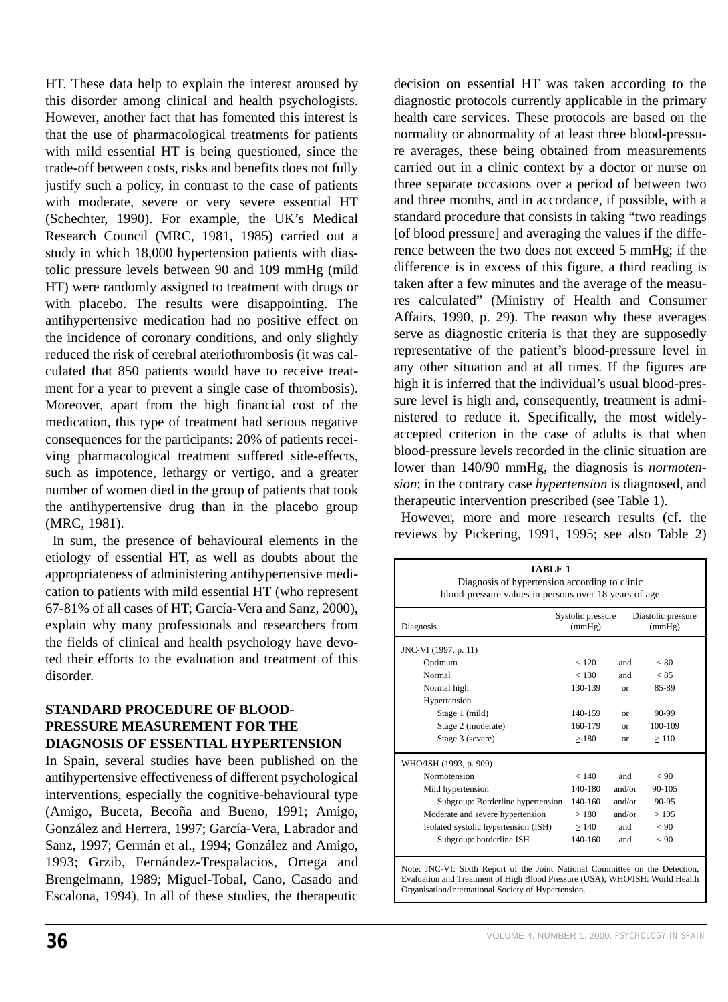HT. These data help to explain the interest aroused by this disorder among clinical and health psychologists. However, another fact that has fomented this interest is that the use of pharmacological treatments for patients with mild essential HT is being questioned, since the trade-off between costs, risks and benefits does not fully justify such a policy, in contrast to the case of patients with moderate, severe or very severe essential HT (Schechter, 1990). For example, the UK's Medical Research Council (MRC, 1981, 1985) carried out a study in which 18,000 hypertension patients with diastolic pressure levels between 90 and 109 mmHg (mild HT) were randomly assigned to treatment with drugs or with placebo. The results were disappointing. The antihypertensive medication had no positive effect on the incidence of coronary conditions, and only slightly reduced the risk of cerebral ateriothrombosis (it was calculated that 850 patients would have to receive treatment for a year to prevent a single case of thrombosis). Moreover, apart from the high financial cost of the medication, this type of treatment had serious negative consequences for the participants: 20% of patients receiving pharmacological treatment suffered side-effects, such as impotence, lethargy or vertigo, and a greater number of women died in the group of patients that took the antihypertensive drug than in the placebo group (MRC, 1981).

In sum, the presence of behavioural elements in the etiology of essential HT, as well as doubts about the appropriateness of administering antihypertensive medication to patients with mild essential HT (who represent 67-81% of all cases of HT; García-Vera and Sanz, 2000), explain why many professionals and researchers from the fields of clinical and health psychology have devoted their efforts to the evaluation and treatment of this disorder.

#### **STANDARD PROCEDURE OF BLOOD-PRESSURE MEASUREMENT FOR THE DIAGNOSIS OF ESSENTIAL HYPERTENSION**

In Spain, several studies have been published on the antihypertensive effectiveness of different psychological interventions, especially the cognitive-behavioural type (Amigo, Buceta, Becoña and Bueno, 1991; Amigo, González and Herrera, 1997; García-Vera, Labrador and Sanz, 1997; Germán et al., 1994; González and Amigo, 1993; Grzib, Fernández-Trespalacios, Ortega and Brengelmann, 1989; Miguel-Tobal, Cano, Casado and Escalona, 1994). In all of these studies, the therapeutic

decision on essential HT was taken according to the diagnostic protocols currently applicable in the primary health care services. These protocols are based on the normality or abnormality of at least three blood-pressure averages, these being obtained from measurements carried out in a clinic context by a doctor or nurse on three separate occasions over a period of between two and three months, and in accordance, if possible, with a standard procedure that consists in taking "two readings [of blood pressure] and averaging the values if the difference between the two does not exceed 5 mmHg; if the difference is in excess of this figure, a third reading is taken after a few minutes and the average of the measures calculated" (Ministry of Health and Consumer Affairs, 1990, p. 29). The reason why these averages serve as diagnostic criteria is that they are supposedly representative of the patient's blood-pressure level in any other situation and at all times. If the figures are high it is inferred that the individual's usual blood-pressure level is high and, consequently, treatment is administered to reduce it. Specifically, the most widelyaccepted criterion in the case of adults is that when blood-pressure levels recorded in the clinic situation are lower than 140/90 mmHg, the diagnosis is *normotension*; in the contrary case *hypertension* is diagnosed, and therapeutic intervention prescribed (see Table 1).

However, more and more research results (cf. the reviews by Pickering, 1991, 1995; see also Table 2)

| TABLE 1<br>Diagnosis of hypertension according to clinic<br>blood-pressure values in persons over 18 years of age |                             |           |                              |  |  |
|-------------------------------------------------------------------------------------------------------------------|-----------------------------|-----------|------------------------------|--|--|
| Diagnosis                                                                                                         | Systolic pressure<br>(mmHg) |           | Diastolic pressure<br>(mmHg) |  |  |
| JNC-VI (1997, p. 11)                                                                                              |                             |           |                              |  |  |
| Optimum                                                                                                           | < 120                       | and       | < 80                         |  |  |
| Normal                                                                                                            | < 130                       | and       | < 85                         |  |  |
| Normal high                                                                                                       | 130-139                     | $\alpha$  | 85-89                        |  |  |
| Hypertension                                                                                                      |                             |           |                              |  |  |
| Stage 1 (mild)                                                                                                    | 140-159                     | $\alpha$  | 90-99                        |  |  |
| Stage 2 (moderate)                                                                                                | 160-179                     | $\alpha$  | 100-109                      |  |  |
| Stage 3 (severe)                                                                                                  | >180                        | <b>or</b> | >110                         |  |  |
| WHO/ISH (1993, p. 909)                                                                                            |                             |           |                              |  |  |
| Normotension                                                                                                      | < 140                       | and       | < 90                         |  |  |
| Mild hypertension                                                                                                 | 140-180                     | and/or    | $90 - 105$                   |  |  |
| Subgroup: Borderline hypertension                                                                                 | 140-160                     | and/or    | 90-95                        |  |  |
| Moderate and severe hypertension                                                                                  | >180                        | and/or    | $\geq 105$                   |  |  |
| Isolated systolic hypertension (ISH)                                                                              | >140                        | and       | < 90                         |  |  |
| Subgroup: borderline ISH                                                                                          | $140 - 160$                 | and       | < 90                         |  |  |

Note: JNC-VI: Sixth Report of the Joint National Committee on the Detection, Evaluation and Treatment of High Blood Pressure (USA); WHO/ISH: World Health Organisation/International Society of Hypertension.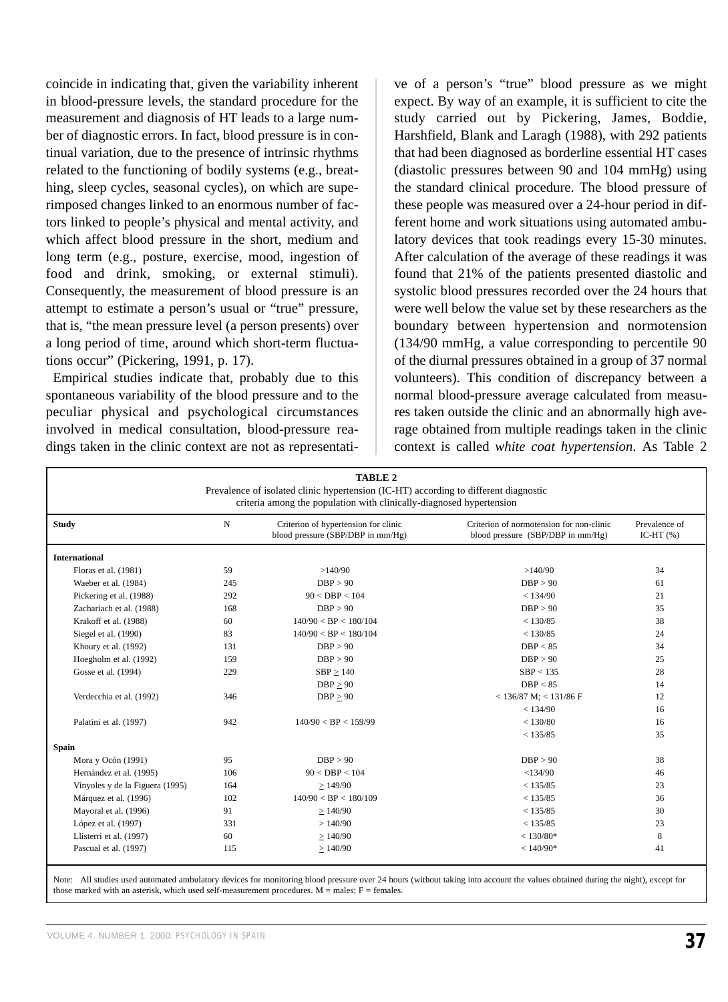coincide in indicating that, given the variability inherent in blood-pressure levels, the standard procedure for the measurement and diagnosis of HT leads to a large number of diagnostic errors. In fact, blood pressure is in continual variation, due to the presence of intrinsic rhythms related to the functioning of bodily systems (e.g., breathing, sleep cycles, seasonal cycles), on which are superimposed changes linked to an enormous number of factors linked to people's physical and mental activity, and which affect blood pressure in the short, medium and long term (e.g., posture, exercise, mood, ingestion of food and drink, smoking, or external stimuli). Consequently, the measurement of blood pressure is an attempt to estimate a person's usual or "true" pressure, that is, "the mean pressure level (a person presents) over a long period of time, around which short-term fluctuations occur" (Pickering, 1991, p. 17).

Empirical studies indicate that, probably due to this spontaneous variability of the blood pressure and to the peculiar physical and psychological circumstances involved in medical consultation, blood-pressure readings taken in the clinic context are not as representative of a person's "true" blood pressure as we might expect. By way of an example, it is sufficient to cite the study carried out by Pickering, James, Boddie, Harshfield, Blank and Laragh (1988), with 292 patients that had been diagnosed as borderline essential HT cases (diastolic pressures between 90 and 104 mmHg) using the standard clinical procedure. The blood pressure of these people was measured over a 24-hour period in different home and work situations using automated ambulatory devices that took readings every 15-30 minutes. After calculation of the average of these readings it was found that 21% of the patients presented diastolic and systolic blood pressures recorded over the 24 hours that were well below the value set by these researchers as the boundary between hypertension and normotension (134/90 mmHg, a value corresponding to percentile 90 of the diurnal pressures obtained in a group of 37 normal volunteers). This condition of discrepancy between a normal blood-pressure average calculated from measures taken outside the clinic and an abnormally high average obtained from multiple readings taken in the clinic context is called *white coat hypertension*. As Table 2

| <b>TABLE 2</b><br>Prevalence of isolated clinic hypertension (IC-HT) according to different diagnostic<br>criteria among the population with clinically-diagnosed hypertension |             |                                                                           |                                                                               |                               |  |  |
|--------------------------------------------------------------------------------------------------------------------------------------------------------------------------------|-------------|---------------------------------------------------------------------------|-------------------------------------------------------------------------------|-------------------------------|--|--|
| <b>Study</b>                                                                                                                                                                   | $\mathbf N$ | Criterion of hypertension for clinic<br>blood pressure (SBP/DBP in mm/Hg) | Criterion of normotension for non-clinic<br>blood pressure (SBP/DBP in mm/Hg) | Prevalence of<br>IC-HT $(\%)$ |  |  |
| <b>International</b>                                                                                                                                                           |             |                                                                           |                                                                               |                               |  |  |
| Floras et al. (1981)                                                                                                                                                           | 59          | >140/90                                                                   | >140/90                                                                       | 34                            |  |  |
| Waeber et al. (1984)                                                                                                                                                           | 245         | DBP > 90                                                                  | DBP > 90                                                                      | 61                            |  |  |
| Pickering et al. (1988)                                                                                                                                                        | 292         | 90 < DBP < 104                                                            | < 134/90                                                                      | 21                            |  |  |
| Zachariach et al. (1988)                                                                                                                                                       | 168         | DBP > 90                                                                  | DBP > 90                                                                      | 35                            |  |  |
| Krakoff et al. (1988)                                                                                                                                                          | 60          | 140/90 < BP < 180/104                                                     | < 130/85                                                                      | 38                            |  |  |
| Siegel et al. (1990)                                                                                                                                                           | 83          | 140/90 < BP < 180/104                                                     | < 130/85                                                                      | 24                            |  |  |
| Khoury et al. (1992)                                                                                                                                                           | 131         | DBP > 90                                                                  | DBP < 85                                                                      | 34                            |  |  |
| Hoegholm et al. (1992)                                                                                                                                                         | 159         | DBP > 90                                                                  | DBP > 90                                                                      | 25                            |  |  |
| Gosse et al. (1994)                                                                                                                                                            | 229         | $SBP \ge 140$                                                             | SBP < 135                                                                     | 28                            |  |  |
|                                                                                                                                                                                |             | DBP > 90                                                                  | DBP < 85                                                                      | 14                            |  |  |
| Verdecchia et al. (1992)                                                                                                                                                       | 346         | $DBP \geq 90$                                                             | $<$ 136/87 M; $<$ 131/86 F                                                    | 12                            |  |  |
|                                                                                                                                                                                |             |                                                                           | < 134/90                                                                      | 16                            |  |  |
| Palatini et al. (1997)                                                                                                                                                         | 942         | 140/90 < BP < 159/99                                                      | < 130/80                                                                      | 16                            |  |  |
|                                                                                                                                                                                |             |                                                                           | < 135/85                                                                      | 35                            |  |  |
| <b>Spain</b>                                                                                                                                                                   |             |                                                                           |                                                                               |                               |  |  |
| Mora y Ocón (1991)                                                                                                                                                             | 95          | DBP > 90                                                                  | DBP > 90                                                                      | 38                            |  |  |
| Hernández et al. (1995)                                                                                                                                                        | 106         | 90 < DBP < 104                                                            | < 134/90                                                                      | 46                            |  |  |
| Vinyoles y de la Figuera (1995)                                                                                                                                                | 164         | >149/90                                                                   | < 135/85                                                                      | 23                            |  |  |
| Márquez et al. (1996)                                                                                                                                                          | 102         | 140/90 < BP < 180/109                                                     | < 135/85                                                                      | 36                            |  |  |
| Mayoral et al. (1996)                                                                                                                                                          | 91          | >140/90                                                                   | < 135/85                                                                      | 30                            |  |  |
| López et al. (1997)                                                                                                                                                            | 331         | >140/90                                                                   | < 135/85                                                                      | 23                            |  |  |
| Llisterri et al. (1997)                                                                                                                                                        | 60          | >140/90                                                                   | $< 130/80*$                                                                   | 8                             |  |  |
| Pascual et al. (1997)                                                                                                                                                          | 115         | >140/90                                                                   | $< 140/90*$                                                                   | 41                            |  |  |

Note: All studies used automated ambulatory devices for monitoring blood pressure over 24 hours (without taking into account the values obtained during the night), except for those marked with an asterisk, which used self-measurement procedures.  $M =$  males;  $F =$  females.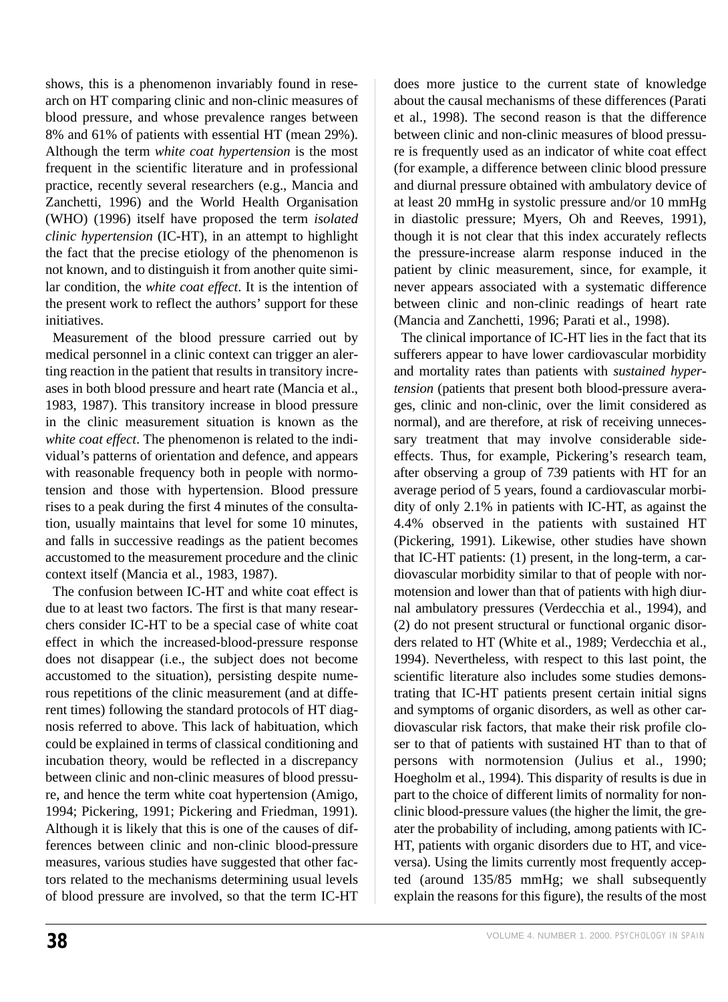shows, this is a phenomenon invariably found in research on HT comparing clinic and non-clinic measures of blood pressure, and whose prevalence ranges between 8% and 61% of patients with essential HT (mean 29%). Although the term *white coat hypertension* is the most frequent in the scientific literature and in professional practice, recently several researchers (e.g., Mancia and Zanchetti, 1996) and the World Health Organisation (WHO) (1996) itself have proposed the term *isolated clinic hypertension* (IC-HT), in an attempt to highlight the fact that the precise etiology of the phenomenon is not known, and to distinguish it from another quite similar condition, the *white coat effect*. It is the intention of the present work to reflect the authors' support for these initiatives.

Measurement of the blood pressure carried out by medical personnel in a clinic context can trigger an alerting reaction in the patient that results in transitory increases in both blood pressure and heart rate (Mancia et al., 1983, 1987). This transitory increase in blood pressure in the clinic measurement situation is known as the *white coat effect*. The phenomenon is related to the individual's patterns of orientation and defence, and appears with reasonable frequency both in people with normotension and those with hypertension. Blood pressure rises to a peak during the first 4 minutes of the consultation, usually maintains that level for some 10 minutes, and falls in successive readings as the patient becomes accustomed to the measurement procedure and the clinic context itself (Mancia et al., 1983, 1987).

The confusion between IC-HT and white coat effect is due to at least two factors. The first is that many researchers consider IC-HT to be a special case of white coat effect in which the increased-blood-pressure response does not disappear (i.e., the subject does not become accustomed to the situation), persisting despite numerous repetitions of the clinic measurement (and at different times) following the standard protocols of HT diagnosis referred to above. This lack of habituation, which could be explained in terms of classical conditioning and incubation theory, would be reflected in a discrepancy between clinic and non-clinic measures of blood pressure, and hence the term white coat hypertension (Amigo, 1994; Pickering, 1991; Pickering and Friedman, 1991). Although it is likely that this is one of the causes of differences between clinic and non-clinic blood-pressure measures, various studies have suggested that other factors related to the mechanisms determining usual levels of blood pressure are involved, so that the term IC-HT does more justice to the current state of knowledge about the causal mechanisms of these differences (Parati et al., 1998). The second reason is that the difference between clinic and non-clinic measures of blood pressure is frequently used as an indicator of white coat effect (for example, a difference between clinic blood pressure and diurnal pressure obtained with ambulatory device of at least 20 mmHg in systolic pressure and/or 10 mmHg in diastolic pressure; Myers, Oh and Reeves, 1991), though it is not clear that this index accurately reflects the pressure-increase alarm response induced in the patient by clinic measurement, since, for example, it never appears associated with a systematic difference between clinic and non-clinic readings of heart rate (Mancia and Zanchetti, 1996; Parati et al., 1998).

The clinical importance of IC-HT lies in the fact that its sufferers appear to have lower cardiovascular morbidity and mortality rates than patients with *sustained hypertension* (patients that present both blood-pressure averages, clinic and non-clinic, over the limit considered as normal), and are therefore, at risk of receiving unnecessary treatment that may involve considerable sideeffects. Thus, for example, Pickering's research team, after observing a group of 739 patients with HT for an average period of 5 years, found a cardiovascular morbidity of only 2.1% in patients with IC-HT, as against the 4.4% observed in the patients with sustained HT (Pickering, 1991). Likewise, other studies have shown that IC-HT patients: (1) present, in the long-term, a cardiovascular morbidity similar to that of people with normotension and lower than that of patients with high diurnal ambulatory pressures (Verdecchia et al., 1994), and (2) do not present structural or functional organic disorders related to HT (White et al., 1989; Verdecchia et al., 1994). Nevertheless, with respect to this last point, the scientific literature also includes some studies demonstrating that IC-HT patients present certain initial signs and symptoms of organic disorders, as well as other cardiovascular risk factors, that make their risk profile closer to that of patients with sustained HT than to that of persons with normotension (Julius et al., 1990; Hoegholm et al., 1994). This disparity of results is due in part to the choice of different limits of normality for nonclinic blood-pressure values (the higher the limit, the greater the probability of including, among patients with IC-HT, patients with organic disorders due to HT, and viceversa). Using the limits currently most frequently accepted (around 135/85 mmHg; we shall subsequently explain the reasons for this figure), the results of the most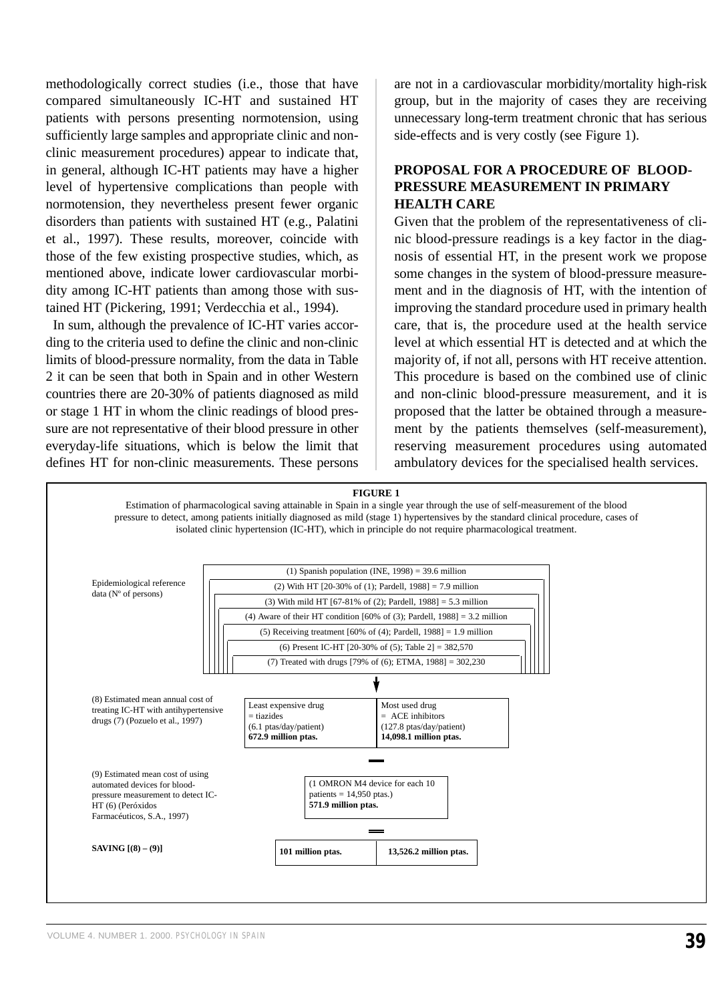methodologically correct studies (i.e., those that have compared simultaneously IC-HT and sustained HT patients with persons presenting normotension, using sufficiently large samples and appropriate clinic and nonclinic measurement procedures) appear to indicate that, in general, although IC-HT patients may have a higher level of hypertensive complications than people with normotension, they nevertheless present fewer organic disorders than patients with sustained HT (e.g., Palatini et al., 1997). These results, moreover, coincide with those of the few existing prospective studies, which, as mentioned above, indicate lower cardiovascular morbidity among IC-HT patients than among those with sustained HT (Pickering, 1991; Verdecchia et al., 1994).

In sum, although the prevalence of IC-HT varies according to the criteria used to define the clinic and non-clinic limits of blood-pressure normality, from the data in Table 2 it can be seen that both in Spain and in other Western countries there are 20-30% of patients diagnosed as mild or stage 1 HT in whom the clinic readings of blood pressure are not representative of their blood pressure in other everyday-life situations, which is below the limit that defines HT for non-clinic measurements. These persons

are not in a cardiovascular morbidity/mortality high-risk group, but in the majority of cases they are receiving unnecessary long-term treatment chronic that has serious side-effects and is very costly (see Figure 1).

# **PROPOSAL FOR A PROCEDURE OF BLOOD-PRESSURE MEASUREMENT IN PRIMARY HEALTH CARE**

Given that the problem of the representativeness of clinic blood-pressure readings is a key factor in the diagnosis of essential HT, in the present work we propose some changes in the system of blood-pressure measurement and in the diagnosis of HT, with the intention of improving the standard procedure used in primary health care, that is, the procedure used at the health service level at which essential HT is detected and at which the majority of, if not all, persons with HT receive attention. This procedure is based on the combined use of clinic and non-clinic blood-pressure measurement, and it is proposed that the latter be obtained through a measurement by the patients themselves (self-measurement), reserving measurement procedures using automated ambulatory devices for the specialised health services.

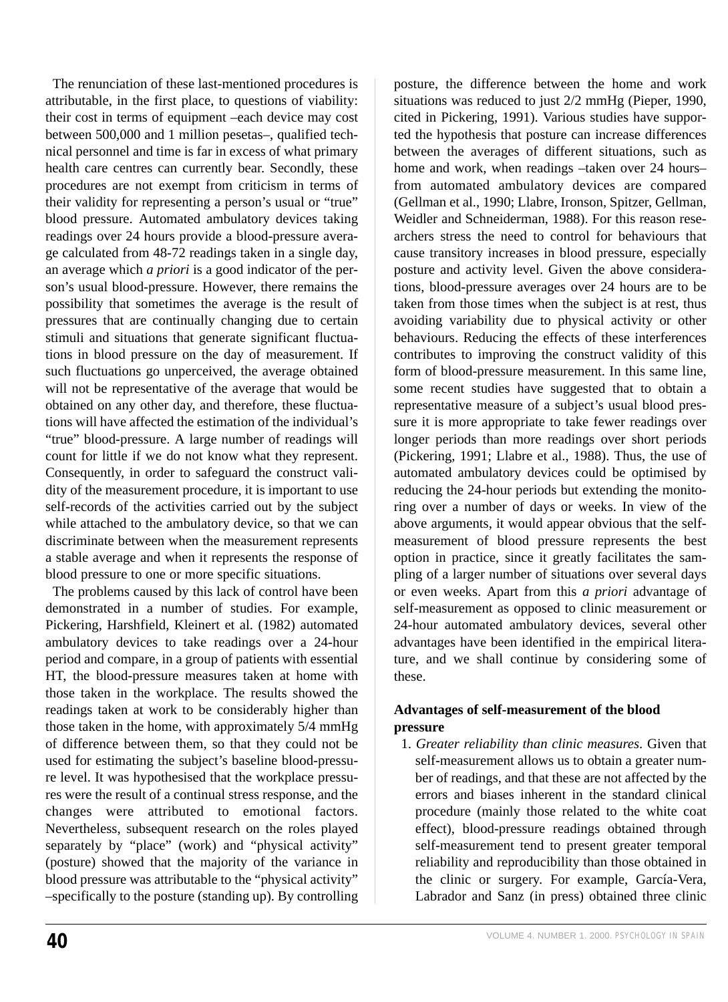The renunciation of these last-mentioned procedures is attributable, in the first place, to questions of viability: their cost in terms of equipment –each device may cost between 500,000 and 1 million pesetas–, qualified technical personnel and time is far in excess of what primary health care centres can currently bear. Secondly, these procedures are not exempt from criticism in terms of their validity for representing a person's usual or "true" blood pressure. Automated ambulatory devices taking readings over 24 hours provide a blood-pressure average calculated from 48-72 readings taken in a single day, an average which *a priori* is a good indicator of the person's usual blood-pressure. However, there remains the possibility that sometimes the average is the result of pressures that are continually changing due to certain stimuli and situations that generate significant fluctuations in blood pressure on the day of measurement. If such fluctuations go unperceived, the average obtained will not be representative of the average that would be obtained on any other day, and therefore, these fluctuations will have affected the estimation of the individual's "true" blood-pressure. A large number of readings will count for little if we do not know what they represent. Consequently, in order to safeguard the construct validity of the measurement procedure, it is important to use self-records of the activities carried out by the subject while attached to the ambulatory device, so that we can discriminate between when the measurement represents a stable average and when it represents the response of blood pressure to one or more specific situations.

The problems caused by this lack of control have been demonstrated in a number of studies. For example, Pickering, Harshfield, Kleinert et al. (1982) automated ambulatory devices to take readings over a 24-hour period and compare, in a group of patients with essential HT, the blood-pressure measures taken at home with those taken in the workplace. The results showed the readings taken at work to be considerably higher than those taken in the home, with approximately 5/4 mmHg of difference between them, so that they could not be used for estimating the subject's baseline blood-pressure level. It was hypothesised that the workplace pressures were the result of a continual stress response, and the changes were attributed to emotional factors. Nevertheless, subsequent research on the roles played separately by "place" (work) and "physical activity" (posture) showed that the majority of the variance in blood pressure was attributable to the "physical activity" –specifically to the posture (standing up). By controlling posture, the difference between the home and work situations was reduced to just 2/2 mmHg (Pieper, 1990, cited in Pickering, 1991). Various studies have supported the hypothesis that posture can increase differences between the averages of different situations, such as home and work, when readings –taken over 24 hours– from automated ambulatory devices are compared (Gellman et al., 1990; Llabre, Ironson, Spitzer, Gellman, Weidler and Schneiderman, 1988). For this reason researchers stress the need to control for behaviours that cause transitory increases in blood pressure, especially posture and activity level. Given the above considerations, blood-pressure averages over 24 hours are to be taken from those times when the subject is at rest, thus avoiding variability due to physical activity or other behaviours. Reducing the effects of these interferences contributes to improving the construct validity of this form of blood-pressure measurement. In this same line, some recent studies have suggested that to obtain a representative measure of a subject's usual blood pressure it is more appropriate to take fewer readings over longer periods than more readings over short periods (Pickering, 1991; Llabre et al., 1988). Thus, the use of automated ambulatory devices could be optimised by reducing the 24-hour periods but extending the monitoring over a number of days or weeks. In view of the above arguments, it would appear obvious that the selfmeasurement of blood pressure represents the best option in practice, since it greatly facilitates the sampling of a larger number of situations over several days or even weeks. Apart from this *a priori* advantage of self-measurement as opposed to clinic measurement or 24-hour automated ambulatory devices, several other advantages have been identified in the empirical literature, and we shall continue by considering some of these.

# **Advantages of self-measurement of the blood pressure**

1. *Greater reliability than clinic measures*. Given that self-measurement allows us to obtain a greater number of readings, and that these are not affected by the errors and biases inherent in the standard clinical procedure (mainly those related to the white coat effect), blood-pressure readings obtained through self-measurement tend to present greater temporal reliability and reproducibility than those obtained in the clinic or surgery. For example, García-Vera, Labrador and Sanz (in press) obtained three clinic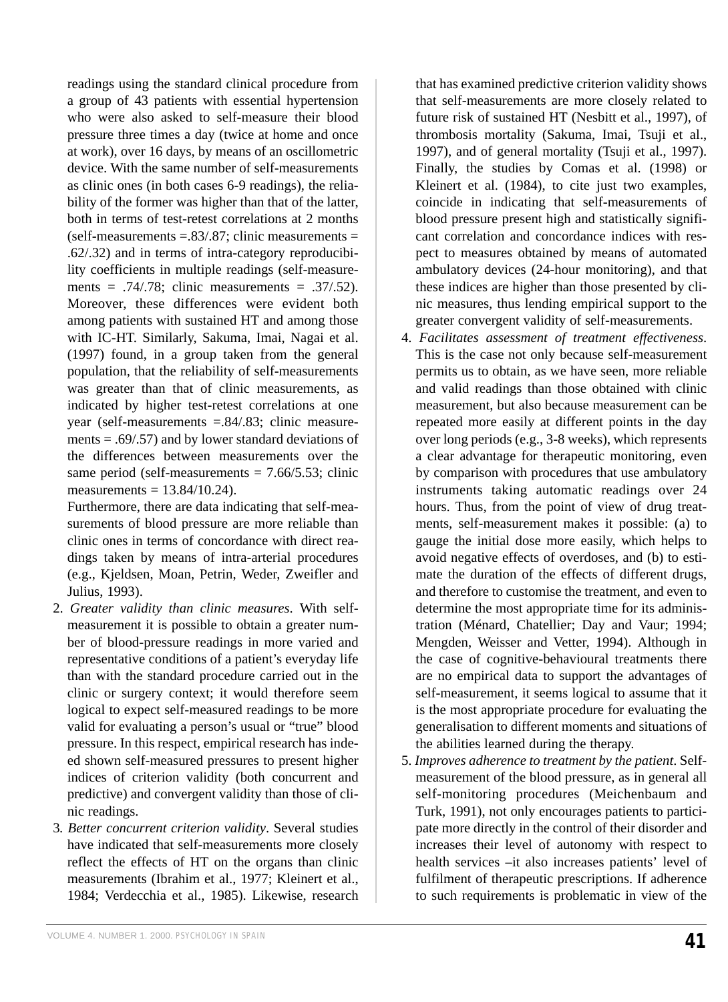readings using the standard clinical procedure from a group of 43 patients with essential hypertension who were also asked to self-measure their blood pressure three times a day (twice at home and once at work), over 16 days, by means of an oscillometric device. With the same number of self-measurements as clinic ones (in both cases 6-9 readings), the reliability of the former was higher than that of the latter, both in terms of test-retest correlations at 2 months  $(self-measures = .83/.87;$  clinic measurements = .62/.32) and in terms of intra-category reproducibility coefficients in multiple readings (self-measurements =  $.74/0.78$ ; clinic measurements =  $.37/0.52$ ). Moreover, these differences were evident both among patients with sustained HT and among those with IC-HT. Similarly, Sakuma, Imai, Nagai et al. (1997) found, in a group taken from the general population, that the reliability of self-measurements was greater than that of clinic measurements, as indicated by higher test-retest correlations at one year (self-measurements =.84/.83; clinic measurements  $= .69/.57$ ) and by lower standard deviations of the differences between measurements over the same period (self-measurements  $= 7.66/5.53$ ; clinic measurements  $= 13.84/10.24$ .

Furthermore, there are data indicating that self-measurements of blood pressure are more reliable than clinic ones in terms of concordance with direct readings taken by means of intra-arterial procedures (e.g., Kjeldsen, Moan, Petrin, Weder, Zweifler and Julius, 1993).

- 2. *Greater validity than clinic measures*. With selfmeasurement it is possible to obtain a greater number of blood-pressure readings in more varied and representative conditions of a patient's everyday life than with the standard procedure carried out in the clinic or surgery context; it would therefore seem logical to expect self-measured readings to be more valid for evaluating a person's usual or "true" blood pressure. In this respect, empirical research has indeed shown self-measured pressures to present higher indices of criterion validity (both concurrent and predictive) and convergent validity than those of clinic readings.
- 3*. Better concurrent criterion validity*. Several studies have indicated that self-measurements more closely reflect the effects of HT on the organs than clinic measurements (Ibrahim et al., 1977; Kleinert et al., 1984; Verdecchia et al., 1985). Likewise, research

that has examined predictive criterion validity shows that self-measurements are more closely related to future risk of sustained HT (Nesbitt et al., 1997), of thrombosis mortality (Sakuma, Imai, Tsuji et al., 1997), and of general mortality (Tsuji et al., 1997). Finally, the studies by Comas et al. (1998) or Kleinert et al. (1984), to cite just two examples, coincide in indicating that self-measurements of blood pressure present high and statistically significant correlation and concordance indices with respect to measures obtained by means of automated ambulatory devices (24-hour monitoring), and that these indices are higher than those presented by clinic measures, thus lending empirical support to the greater convergent validity of self-measurements.

- 4. *Facilitates assessment of treatment effectiveness*. This is the case not only because self-measurement permits us to obtain, as we have seen, more reliable and valid readings than those obtained with clinic measurement, but also because measurement can be repeated more easily at different points in the day over long periods (e.g., 3-8 weeks), which represents a clear advantage for therapeutic monitoring, even by comparison with procedures that use ambulatory instruments taking automatic readings over 24 hours. Thus, from the point of view of drug treatments, self-measurement makes it possible: (a) to gauge the initial dose more easily, which helps to avoid negative effects of overdoses, and (b) to estimate the duration of the effects of different drugs, and therefore to customise the treatment, and even to determine the most appropriate time for its administration (Ménard, Chatellier; Day and Vaur; 1994; Mengden, Weisser and Vetter, 1994). Although in the case of cognitive-behavioural treatments there are no empirical data to support the advantages of self-measurement, it seems logical to assume that it is the most appropriate procedure for evaluating the generalisation to different moments and situations of the abilities learned during the therapy.
- 5. *Improves adherence to treatment by the patient*. Selfmeasurement of the blood pressure, as in general all self-monitoring procedures (Meichenbaum and Turk, 1991), not only encourages patients to participate more directly in the control of their disorder and increases their level of autonomy with respect to health services –it also increases patients' level of fulfilment of therapeutic prescriptions. If adherence to such requirements is problematic in view of the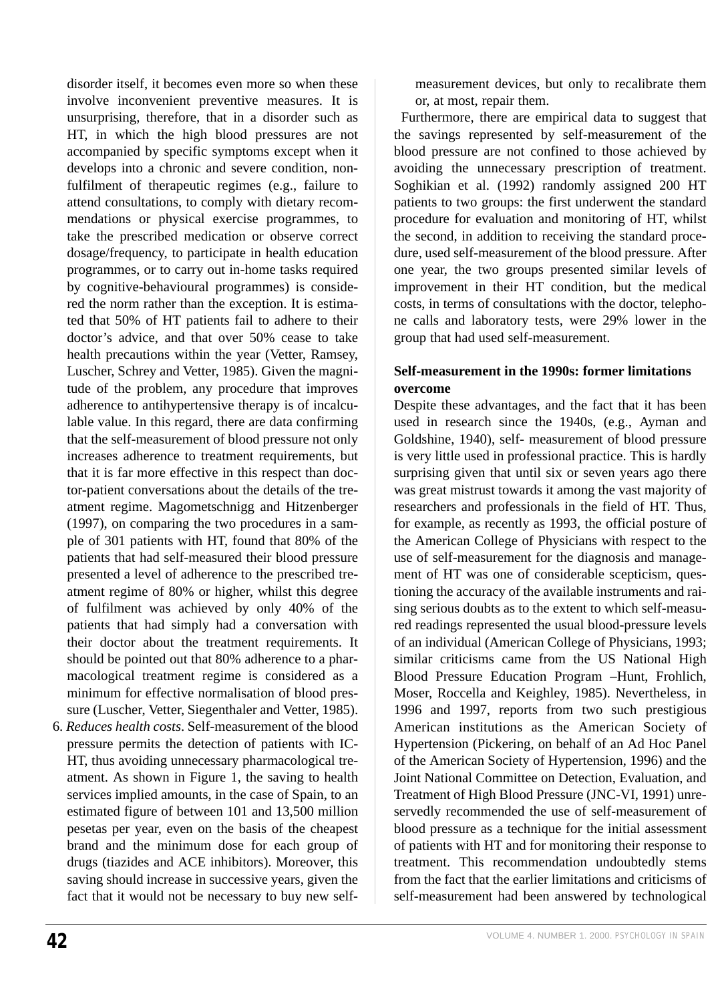disorder itself, it becomes even more so when these involve inconvenient preventive measures. It is unsurprising, therefore, that in a disorder such as HT, in which the high blood pressures are not accompanied by specific symptoms except when it develops into a chronic and severe condition, nonfulfilment of therapeutic regimes (e.g., failure to attend consultations, to comply with dietary recommendations or physical exercise programmes, to take the prescribed medication or observe correct dosage/frequency, to participate in health education programmes, or to carry out in-home tasks required by cognitive-behavioural programmes) is considered the norm rather than the exception. It is estimated that 50% of HT patients fail to adhere to their doctor's advice, and that over 50% cease to take health precautions within the year (Vetter, Ramsey, Luscher, Schrey and Vetter, 1985). Given the magnitude of the problem, any procedure that improves adherence to antihypertensive therapy is of incalculable value. In this regard, there are data confirming that the self-measurement of blood pressure not only increases adherence to treatment requirements, but that it is far more effective in this respect than doctor-patient conversations about the details of the treatment regime. Magometschnigg and Hitzenberger (1997), on comparing the two procedures in a sample of 301 patients with HT, found that 80% of the patients that had self-measured their blood pressure presented a level of adherence to the prescribed treatment regime of 80% or higher, whilst this degree of fulfilment was achieved by only 40% of the patients that had simply had a conversation with their doctor about the treatment requirements. It should be pointed out that 80% adherence to a pharmacological treatment regime is considered as a minimum for effective normalisation of blood pressure (Luscher, Vetter, Siegenthaler and Vetter, 1985).

6. *Reduces health costs*. Self-measurement of the blood pressure permits the detection of patients with IC-HT, thus avoiding unnecessary pharmacological treatment. As shown in Figure 1, the saving to health services implied amounts, in the case of Spain, to an estimated figure of between 101 and 13,500 million pesetas per year, even on the basis of the cheapest brand and the minimum dose for each group of drugs (tiazides and ACE inhibitors). Moreover, this saving should increase in successive years, given the fact that it would not be necessary to buy new selfmeasurement devices, but only to recalibrate them or, at most, repair them.

Furthermore, there are empirical data to suggest that the savings represented by self-measurement of the blood pressure are not confined to those achieved by avoiding the unnecessary prescription of treatment. Soghikian et al. (1992) randomly assigned 200 HT patients to two groups: the first underwent the standard procedure for evaluation and monitoring of HT, whilst the second, in addition to receiving the standard procedure, used self-measurement of the blood pressure. After one year, the two groups presented similar levels of improvement in their HT condition, but the medical costs, in terms of consultations with the doctor, telephone calls and laboratory tests, were 29% lower in the group that had used self-measurement.

### **Self-measurement in the 1990s: former limitations overcome**

Despite these advantages, and the fact that it has been used in research since the 1940s, (e.g., Ayman and Goldshine, 1940), self- measurement of blood pressure is very little used in professional practice. This is hardly surprising given that until six or seven years ago there was great mistrust towards it among the vast majority of researchers and professionals in the field of HT. Thus, for example, as recently as 1993, the official posture of the American College of Physicians with respect to the use of self-measurement for the diagnosis and management of HT was one of considerable scepticism, questioning the accuracy of the available instruments and raising serious doubts as to the extent to which self-measured readings represented the usual blood-pressure levels of an individual (American College of Physicians, 1993; similar criticisms came from the US National High Blood Pressure Education Program –Hunt, Frohlich, Moser, Roccella and Keighley, 1985). Nevertheless, in 1996 and 1997, reports from two such prestigious American institutions as the American Society of Hypertension (Pickering, on behalf of an Ad Hoc Panel of the American Society of Hypertension, 1996) and the Joint National Committee on Detection, Evaluation, and Treatment of High Blood Pressure (JNC-VI, 1991) unreservedly recommended the use of self-measurement of blood pressure as a technique for the initial assessment of patients with HT and for monitoring their response to treatment. This recommendation undoubtedly stems from the fact that the earlier limitations and criticisms of self-measurement had been answered by technological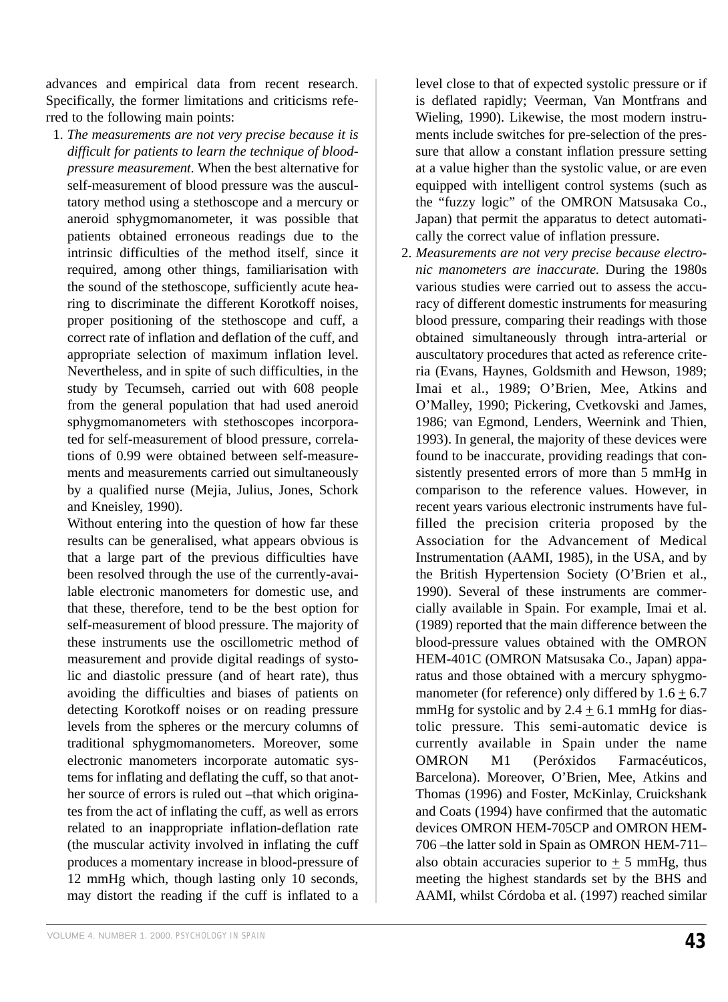advances and empirical data from recent research. Specifically, the former limitations and criticisms referred to the following main points:

1. *The measurements are not very precise because it is difficult for patients to learn the technique of bloodpressure measurement.* When the best alternative for self-measurement of blood pressure was the auscultatory method using a stethoscope and a mercury or aneroid sphygmomanometer, it was possible that patients obtained erroneous readings due to the intrinsic difficulties of the method itself, since it required, among other things, familiarisation with the sound of the stethoscope, sufficiently acute hearing to discriminate the different Korotkoff noises, proper positioning of the stethoscope and cuff, a correct rate of inflation and deflation of the cuff, and appropriate selection of maximum inflation level. Nevertheless, and in spite of such difficulties, in the study by Tecumseh, carried out with 608 people from the general population that had used aneroid sphygmomanometers with stethoscopes incorporated for self-measurement of blood pressure, correlations of 0.99 were obtained between self-measurements and measurements carried out simultaneously by a qualified nurse (Mejia, Julius, Jones, Schork and Kneisley, 1990).

Without entering into the question of how far these results can be generalised, what appears obvious is that a large part of the previous difficulties have been resolved through the use of the currently-available electronic manometers for domestic use, and that these, therefore, tend to be the best option for self-measurement of blood pressure. The majority of these instruments use the oscillometric method of measurement and provide digital readings of systolic and diastolic pressure (and of heart rate), thus avoiding the difficulties and biases of patients on detecting Korotkoff noises or on reading pressure levels from the spheres or the mercury columns of traditional sphygmomanometers. Moreover, some electronic manometers incorporate automatic systems for inflating and deflating the cuff, so that another source of errors is ruled out –that which originates from the act of inflating the cuff, as well as errors related to an inappropriate inflation-deflation rate (the muscular activity involved in inflating the cuff produces a momentary increase in blood-pressure of 12 mmHg which, though lasting only 10 seconds, may distort the reading if the cuff is inflated to a

level close to that of expected systolic pressure or if is deflated rapidly; Veerman, Van Montfrans and Wieling, 1990). Likewise, the most modern instruments include switches for pre-selection of the pressure that allow a constant inflation pressure setting at a value higher than the systolic value, or are even equipped with intelligent control systems (such as the "fuzzy logic" of the OMRON Matsusaka Co., Japan) that permit the apparatus to detect automatically the correct value of inflation pressure.

2. *Measurements are not very precise because electronic manometers are inaccurate.* During the 1980s various studies were carried out to assess the accuracy of different domestic instruments for measuring blood pressure, comparing their readings with those obtained simultaneously through intra-arterial or auscultatory procedures that acted as reference criteria (Evans, Haynes, Goldsmith and Hewson, 1989; Imai et al., 1989; O'Brien, Mee, Atkins and O'Malley, 1990; Pickering, Cvetkovski and James, 1986; van Egmond, Lenders, Weernink and Thien, 1993). In general, the majority of these devices were found to be inaccurate, providing readings that consistently presented errors of more than 5 mmHg in comparison to the reference values. However, in recent years various electronic instruments have fulfilled the precision criteria proposed by the Association for the Advancement of Medical Instrumentation (AAMI, 1985), in the USA, and by the British Hypertension Society (O'Brien et al., 1990). Several of these instruments are commercially available in Spain. For example, Imai et al. (1989) reported that the main difference between the blood-pressure values obtained with the OMRON HEM-401C (OMRON Matsusaka Co., Japan) apparatus and those obtained with a mercury sphygmomanometer (for reference) only differed by  $1.6 + 6.7$ mmHg for systolic and by  $2.4 \pm 6.1$  mmHg for diastolic pressure. This semi-automatic device is currently available in Spain under the name OMRON M1 (Peróxidos Farmacéuticos, Barcelona). Moreover, O'Brien, Mee, Atkins and Thomas (1996) and Foster, McKinlay, Cruickshank and Coats (1994) have confirmed that the automatic devices OMRON HEM-705CP and OMRON HEM-706 –the latter sold in Spain as OMRON HEM-711– also obtain accuracies superior to  $+5$  mmHg, thus meeting the highest standards set by the BHS and AAMI, whilst Córdoba et al. (1997) reached similar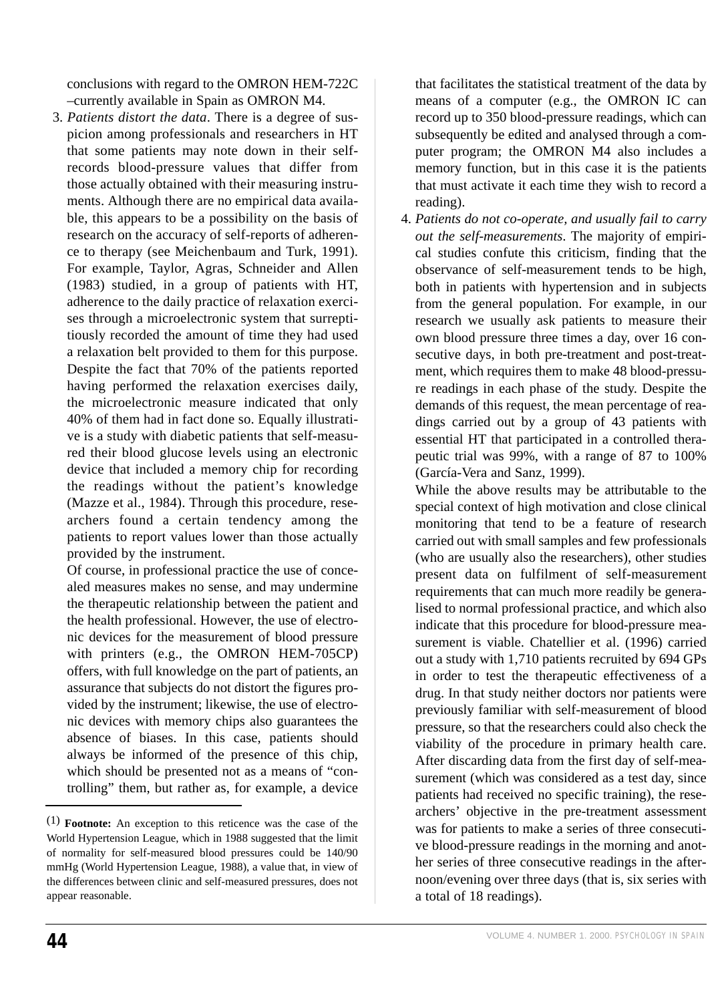conclusions with regard to the OMRON HEM-722C –currently available in Spain as OMRON M4.

3. *Patients distort the data*. There is a degree of suspicion among professionals and researchers in HT that some patients may note down in their selfrecords blood-pressure values that differ from those actually obtained with their measuring instruments. Although there are no empirical data available, this appears to be a possibility on the basis of research on the accuracy of self-reports of adherence to therapy (see Meichenbaum and Turk, 1991). For example, Taylor, Agras, Schneider and Allen (1983) studied, in a group of patients with HT, adherence to the daily practice of relaxation exercises through a microelectronic system that surreptitiously recorded the amount of time they had used a relaxation belt provided to them for this purpose. Despite the fact that 70% of the patients reported having performed the relaxation exercises daily, the microelectronic measure indicated that only 40% of them had in fact done so. Equally illustrative is a study with diabetic patients that self-measured their blood glucose levels using an electronic device that included a memory chip for recording the readings without the patient's knowledge (Mazze et al., 1984). Through this procedure, researchers found a certain tendency among the patients to report values lower than those actually provided by the instrument.

Of course, in professional practice the use of concealed measures makes no sense, and may undermine the therapeutic relationship between the patient and the health professional. However, the use of electronic devices for the measurement of blood pressure with printers (e.g., the OMRON HEM-705CP) offers, with full knowledge on the part of patients, an assurance that subjects do not distort the figures provided by the instrument; likewise, the use of electronic devices with memory chips also guarantees the absence of biases. In this case, patients should always be informed of the presence of this chip, which should be presented not as a means of "controlling" them, but rather as, for example, a device that facilitates the statistical treatment of the data by means of a computer (e.g., the OMRON IC can record up to 350 blood-pressure readings, which can subsequently be edited and analysed through a computer program; the OMRON M4 also includes a memory function, but in this case it is the patients that must activate it each time they wish to record a reading).

4. *Patients do not co-operate, and usually fail to carry out the self-measurements*. The majority of empirical studies confute this criticism, finding that the observance of self-measurement tends to be high, both in patients with hypertension and in subjects from the general population. For example, in our research we usually ask patients to measure their own blood pressure three times a day, over 16 consecutive days, in both pre-treatment and post-treatment, which requires them to make 48 blood-pressure readings in each phase of the study. Despite the demands of this request, the mean percentage of readings carried out by a group of 43 patients with essential HT that participated in a controlled therapeutic trial was 99%, with a range of 87 to 100% (García-Vera and Sanz, 1999).

While the above results may be attributable to the special context of high motivation and close clinical monitoring that tend to be a feature of research carried out with small samples and few professionals (who are usually also the researchers), other studies present data on fulfilment of self-measurement requirements that can much more readily be generalised to normal professional practice, and which also indicate that this procedure for blood-pressure measurement is viable. Chatellier et al. (1996) carried out a study with 1,710 patients recruited by 694 GPs in order to test the therapeutic effectiveness of a drug. In that study neither doctors nor patients were previously familiar with self-measurement of blood pressure, so that the researchers could also check the viability of the procedure in primary health care. After discarding data from the first day of self-measurement (which was considered as a test day, since patients had received no specific training), the researchers' objective in the pre-treatment assessment was for patients to make a series of three consecutive blood-pressure readings in the morning and another series of three consecutive readings in the afternoon/evening over three days (that is, six series with a total of 18 readings).

<sup>(1)</sup> **Footnote:** An exception to this reticence was the case of the World Hypertension League, which in 1988 suggested that the limit of normality for self-measured blood pressures could be 140/90 mmHg (World Hypertension League, 1988), a value that, in view of the differences between clinic and self-measured pressures, does not appear reasonable.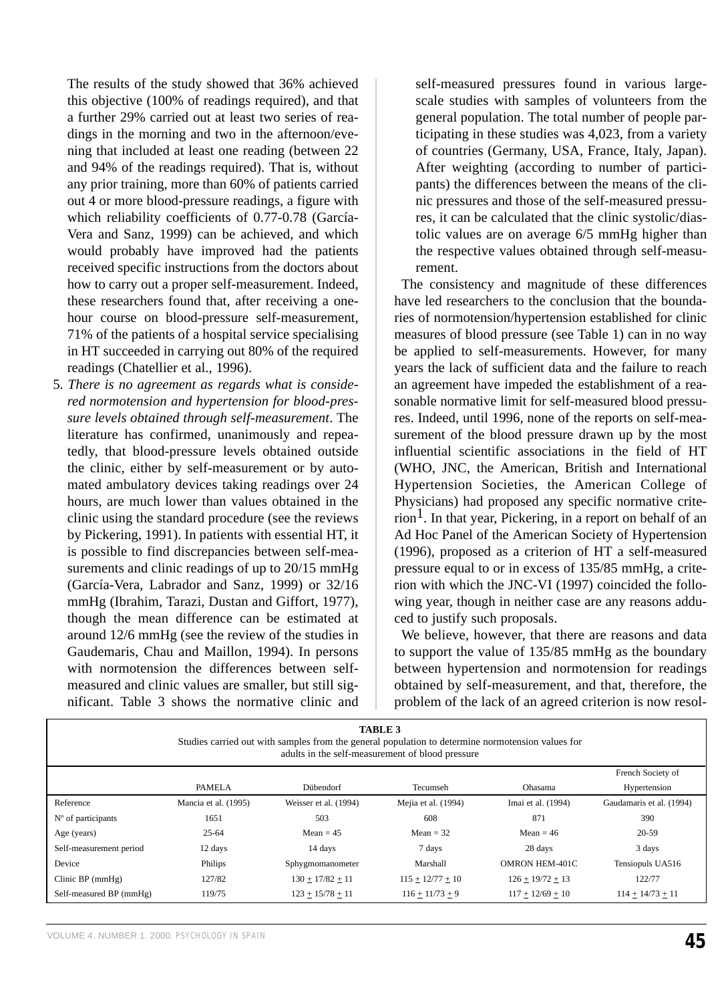The results of the study showed that 36% achieved this objective (100% of readings required), and that a further 29% carried out at least two series of readings in the morning and two in the afternoon/evening that included at least one reading (between 22 and 94% of the readings required). That is, without any prior training, more than 60% of patients carried out 4 or more blood-pressure readings, a figure with which reliability coefficients of 0.77-0.78 (García-Vera and Sanz, 1999) can be achieved, and which would probably have improved had the patients received specific instructions from the doctors about how to carry out a proper self-measurement. Indeed, these researchers found that, after receiving a onehour course on blood-pressure self-measurement, 71% of the patients of a hospital service specialising in HT succeeded in carrying out 80% of the required readings (Chatellier et al., 1996).

5. *There is no agreement as regards what is considered normotension and hypertension for blood-pressure levels obtained through self-measurement*. The literature has confirmed, unanimously and repeatedly, that blood-pressure levels obtained outside the clinic, either by self-measurement or by automated ambulatory devices taking readings over 24 hours, are much lower than values obtained in the clinic using the standard procedure (see the reviews by Pickering, 1991). In patients with essential HT, it is possible to find discrepancies between self-measurements and clinic readings of up to 20/15 mmHg (García-Vera, Labrador and Sanz, 1999) or 32/16 mmHg (Ibrahim, Tarazi, Dustan and Giffort, 1977), though the mean difference can be estimated at around 12/6 mmHg (see the review of the studies in Gaudemaris, Chau and Maillon, 1994). In persons with normotension the differences between selfmeasured and clinic values are smaller, but still significant. Table 3 shows the normative clinic and self-measured pressures found in various largescale studies with samples of volunteers from the general population. The total number of people participating in these studies was 4,023, from a variety of countries (Germany, USA, France, Italy, Japan). After weighting (according to number of participants) the differences between the means of the clinic pressures and those of the self-measured pressures, it can be calculated that the clinic systolic/diastolic values are on average 6/5 mmHg higher than the respective values obtained through self-measurement.

The consistency and magnitude of these differences have led researchers to the conclusion that the boundaries of normotension/hypertension established for clinic measures of blood pressure (see Table 1) can in no way be applied to self-measurements. However, for many years the lack of sufficient data and the failure to reach an agreement have impeded the establishment of a reasonable normative limit for self-measured blood pressures. Indeed, until 1996, none of the reports on self-measurement of the blood pressure drawn up by the most influential scientific associations in the field of HT (WHO, JNC, the American, British and International Hypertension Societies, the American College of Physicians) had proposed any specific normative criterion<sup>1</sup>. In that year, Pickering, in a report on behalf of an Ad Hoc Panel of the American Society of Hypertension (1996), proposed as a criterion of HT a self-measured pressure equal to or in excess of 135/85 mmHg, a criterion with which the JNC-VI (1997) coincided the following year, though in neither case are any reasons adduced to justify such proposals.

We believe, however, that there are reasons and data to support the value of 135/85 mmHg as the boundary between hypertension and normotension for readings obtained by self-measurement, and that, therefore, the problem of the lack of an agreed criterion is now resol-

| <b>TABLE 3</b><br>Studies carried out with samples from the general population to determine normotension values for<br>adults in the self-measurement of blood pressure |                      |                       |                     |                       |                          |
|-------------------------------------------------------------------------------------------------------------------------------------------------------------------------|----------------------|-----------------------|---------------------|-----------------------|--------------------------|
|                                                                                                                                                                         |                      |                       |                     |                       | French Society of        |
|                                                                                                                                                                         | <b>PAMELA</b>        | Dübendorf             | Tecumseh            | Ohasama               | Hypertension             |
| Reference                                                                                                                                                               | Mancia et al. (1995) | Weisser et al. (1994) | Mejia et al. (1994) | Imai et al. (1994)    | Gaudamaris et al. (1994) |
| $No$ of participants                                                                                                                                                    | 1651                 | 503                   | 608                 | 871                   | 390                      |
| Age (years)                                                                                                                                                             | $25 - 64$            | Mean $= 45$           | Mean $=$ 32         | Mean = $46$           | 20-59                    |
| Self-measurement period                                                                                                                                                 | 12 days              | 14 days               | 7 days              | 28 days               | 3 days                   |
| Device                                                                                                                                                                  | Philips              | Sphygmomanometer      | Marshall            | <b>OMRON HEM-401C</b> | Tensiopuls UA516         |
| Clinic BP $(mmHg)$                                                                                                                                                      | 127/82               | $130 + 17/82 + 11$    | $115 + 12/77 + 10$  | $126 + 19/72 + 13$    | 122/77                   |
| Self-measured BP (mmHg)                                                                                                                                                 | 119/75               | $123 + 15/78 + 11$    | $116 + 11/73 + 9$   | $117 + 12/69 + 10$    | $114 + 14/73 + 11$       |

VOLUME 4. NUMBER 1. 2000. *PSYCHOLOGY IN SPAIN* **45**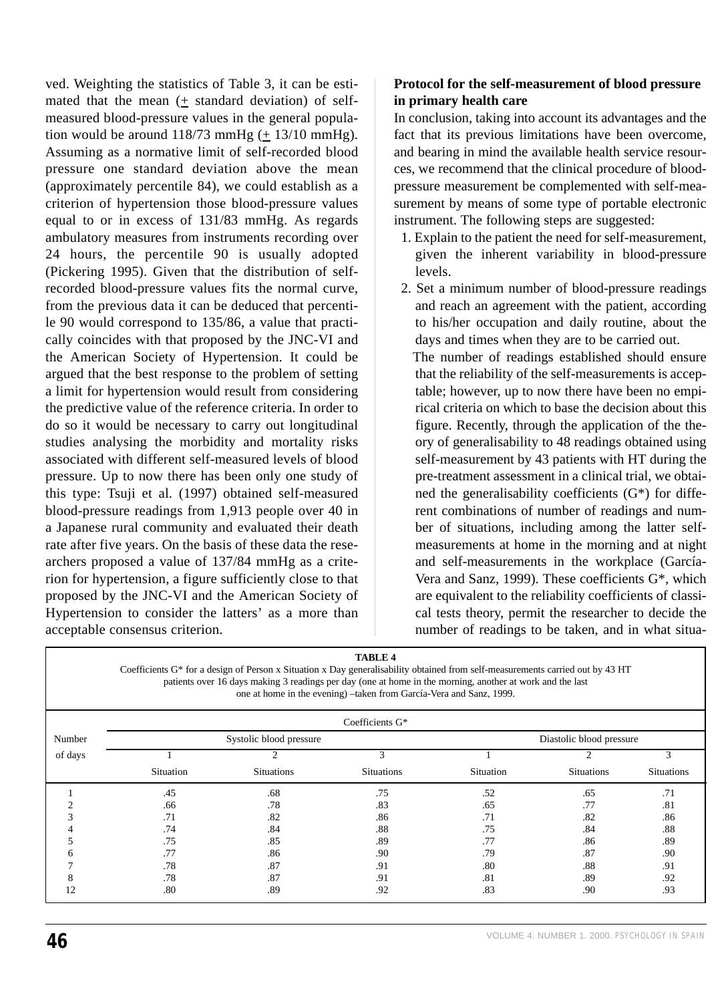ved. Weighting the statistics of Table 3, it can be estimated that the mean (+ standard deviation) of selfmeasured blood-pressure values in the general population would be around  $118/73$  mmHg  $(\pm 13/10$  mmHg). Assuming as a normative limit of self-recorded blood pressure one standard deviation above the mean (approximately percentile 84), we could establish as a criterion of hypertension those blood-pressure values equal to or in excess of 131/83 mmHg. As regards ambulatory measures from instruments recording over 24 hours, the percentile 90 is usually adopted (Pickering 1995). Given that the distribution of selfrecorded blood-pressure values fits the normal curve, from the previous data it can be deduced that percentile 90 would correspond to 135/86, a value that practically coincides with that proposed by the JNC-VI and the American Society of Hypertension. It could be argued that the best response to the problem of setting a limit for hypertension would result from considering the predictive value of the reference criteria. In order to do so it would be necessary to carry out longitudinal studies analysing the morbidity and mortality risks associated with different self-measured levels of blood pressure. Up to now there has been only one study of this type: Tsuji et al. (1997) obtained self-measured blood-pressure readings from 1,913 people over 40 in a Japanese rural community and evaluated their death rate after five years. On the basis of these data the researchers proposed a value of 137/84 mmHg as a criterion for hypertension, a figure sufficiently close to that proposed by the JNC-VI and the American Society of Hypertension to consider the latters' as a more than acceptable consensus criterion.

# **Protocol for the self-measurement of blood pressure in primary health care**

In conclusion, taking into account its advantages and the fact that its previous limitations have been overcome, and bearing in mind the available health service resources, we recommend that the clinical procedure of bloodpressure measurement be complemented with self-measurement by means of some type of portable electronic instrument. The following steps are suggested:

- 1. Explain to the patient the need for self-measurement, given the inherent variability in blood-pressure levels.
- 2. Set a minimum number of blood-pressure readings and reach an agreement with the patient, according to his/her occupation and daily routine, about the days and times when they are to be carried out. The number of readings established should ensure that the reliability of the self-measurements is acceptable; however, up to now there have been no empirical criteria on which to base the decision about this figure. Recently, through the application of the theory of generalisability to 48 readings obtained using self-measurement by 43 patients with HT during the pre-treatment assessment in a clinical trial, we obtained the generalisability coefficients (G\*) for different combinations of number of readings and number of situations, including among the latter selfmeasurements at home in the morning and at night and self-measurements in the workplace (García-Vera and Sanz, 1999). These coefficients G\*, which are equivalent to the reliability coefficients of classical tests theory, permit the researcher to decide the number of readings to be taken, and in what situa-

| <b>TABLE 4</b><br>Coefficients G <sup>*</sup> for a design of Person x Situation x Day generalisability obtained from self-measurements carried out by 43 HT<br>patients over 16 days making 3 readings per day (one at home in the morning, another at work and the last<br>one at home in the evening) -taken from García-Vera and Sanz, 1999. |                         |                   |                   |                          |                   |                   |  |
|--------------------------------------------------------------------------------------------------------------------------------------------------------------------------------------------------------------------------------------------------------------------------------------------------------------------------------------------------|-------------------------|-------------------|-------------------|--------------------------|-------------------|-------------------|--|
| Coefficients G*                                                                                                                                                                                                                                                                                                                                  |                         |                   |                   |                          |                   |                   |  |
| Number                                                                                                                                                                                                                                                                                                                                           | Systolic blood pressure |                   |                   | Diastolic blood pressure |                   |                   |  |
| of days                                                                                                                                                                                                                                                                                                                                          |                         |                   | 3                 |                          |                   | 3                 |  |
|                                                                                                                                                                                                                                                                                                                                                  | Situation               | <b>Situations</b> | <b>Situations</b> | Situation                | <b>Situations</b> | <b>Situations</b> |  |
|                                                                                                                                                                                                                                                                                                                                                  | .45                     | .68               | .75               | .52                      | .65               | .71               |  |
|                                                                                                                                                                                                                                                                                                                                                  | .66                     | .78               | .83               | .65                      | .77               | .81               |  |
|                                                                                                                                                                                                                                                                                                                                                  | .71                     | .82               | .86               | .71                      | .82               | .86               |  |
|                                                                                                                                                                                                                                                                                                                                                  | .74                     | .84               | .88               | .75                      | .84               | .88               |  |
|                                                                                                                                                                                                                                                                                                                                                  | .75                     | .85               | .89               | .77                      | .86               | .89               |  |
| n                                                                                                                                                                                                                                                                                                                                                | .77                     | .86               | .90               | .79                      | .87               | .90               |  |
|                                                                                                                                                                                                                                                                                                                                                  | .78                     | .87               | .91               | .80                      | .88               | .91               |  |
|                                                                                                                                                                                                                                                                                                                                                  | .78                     | .87               | .91               | .81                      | .89               | .92               |  |
| 12                                                                                                                                                                                                                                                                                                                                               | .80                     | .89               | .92               | .83                      | .90               | .93               |  |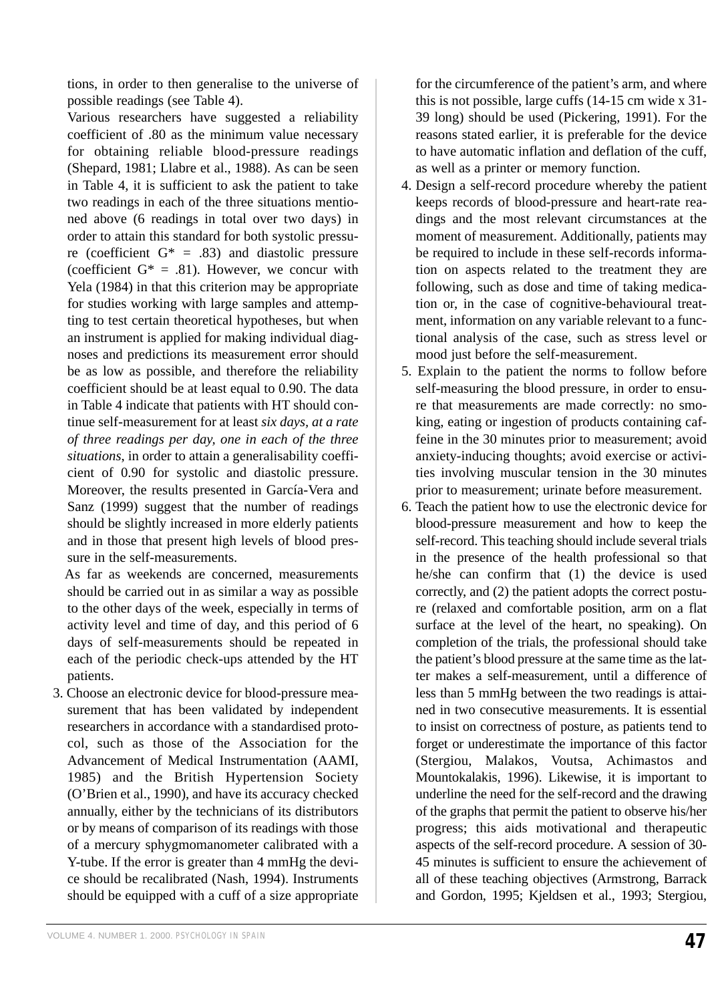tions, in order to then generalise to the universe of possible readings (see Table 4).

Various researchers have suggested a reliability coefficient of .80 as the minimum value necessary for obtaining reliable blood-pressure readings (Shepard, 1981; Llabre et al., 1988). As can be seen in Table 4, it is sufficient to ask the patient to take two readings in each of the three situations mentioned above (6 readings in total over two days) in order to attain this standard for both systolic pressure (coefficient  $G^* = .83$ ) and diastolic pressure (coefficient  $G^* = .81$ ). However, we concur with Yela (1984) in that this criterion may be appropriate for studies working with large samples and attempting to test certain theoretical hypotheses, but when an instrument is applied for making individual diagnoses and predictions its measurement error should be as low as possible, and therefore the reliability coefficient should be at least equal to 0.90. The data in Table 4 indicate that patients with HT should continue self-measurement for at least *six days, at a rate of three readings per day, one in each of the three situations*, in order to attain a generalisability coefficient of 0.90 for systolic and diastolic pressure. Moreover, the results presented in García-Vera and Sanz (1999) suggest that the number of readings should be slightly increased in more elderly patients and in those that present high levels of blood pressure in the self-measurements.

As far as weekends are concerned, measurements should be carried out in as similar a way as possible to the other days of the week, especially in terms of activity level and time of day, and this period of 6 days of self-measurements should be repeated in each of the periodic check-ups attended by the HT patients.

3. Choose an electronic device for blood-pressure measurement that has been validated by independent researchers in accordance with a standardised protocol, such as those of the Association for the Advancement of Medical Instrumentation (AAMI, 1985) and the British Hypertension Society (O'Brien et al., 1990), and have its accuracy checked annually, either by the technicians of its distributors or by means of comparison of its readings with those of a mercury sphygmomanometer calibrated with a Y-tube. If the error is greater than 4 mmHg the device should be recalibrated (Nash, 1994). Instruments should be equipped with a cuff of a size appropriate for the circumference of the patient's arm, and where this is not possible, large cuffs (14-15 cm wide x 31- 39 long) should be used (Pickering, 1991). For the reasons stated earlier, it is preferable for the device to have automatic inflation and deflation of the cuff, as well as a printer or memory function.

- 4. Design a self-record procedure whereby the patient keeps records of blood-pressure and heart-rate readings and the most relevant circumstances at the moment of measurement. Additionally, patients may be required to include in these self-records information on aspects related to the treatment they are following, such as dose and time of taking medication or, in the case of cognitive-behavioural treatment, information on any variable relevant to a functional analysis of the case, such as stress level or mood just before the self-measurement.
- 5. Explain to the patient the norms to follow before self-measuring the blood pressure, in order to ensure that measurements are made correctly: no smoking, eating or ingestion of products containing caffeine in the 30 minutes prior to measurement; avoid anxiety-inducing thoughts; avoid exercise or activities involving muscular tension in the 30 minutes prior to measurement; urinate before measurement.
- 6. Teach the patient how to use the electronic device for blood-pressure measurement and how to keep the self-record. This teaching should include several trials in the presence of the health professional so that he/she can confirm that (1) the device is used correctly, and (2) the patient adopts the correct posture (relaxed and comfortable position, arm on a flat surface at the level of the heart, no speaking). On completion of the trials, the professional should take the patient's blood pressure at the same time as the latter makes a self-measurement, until a difference of less than 5 mmHg between the two readings is attained in two consecutive measurements. It is essential to insist on correctness of posture, as patients tend to forget or underestimate the importance of this factor (Stergiou, Malakos, Voutsa, Achimastos and Mountokalakis, 1996). Likewise, it is important to underline the need for the self-record and the drawing of the graphs that permit the patient to observe his/her progress; this aids motivational and therapeutic aspects of the self-record procedure. A session of 30- 45 minutes is sufficient to ensure the achievement of all of these teaching objectives (Armstrong, Barrack and Gordon, 1995; Kjeldsen et al., 1993; Stergiou,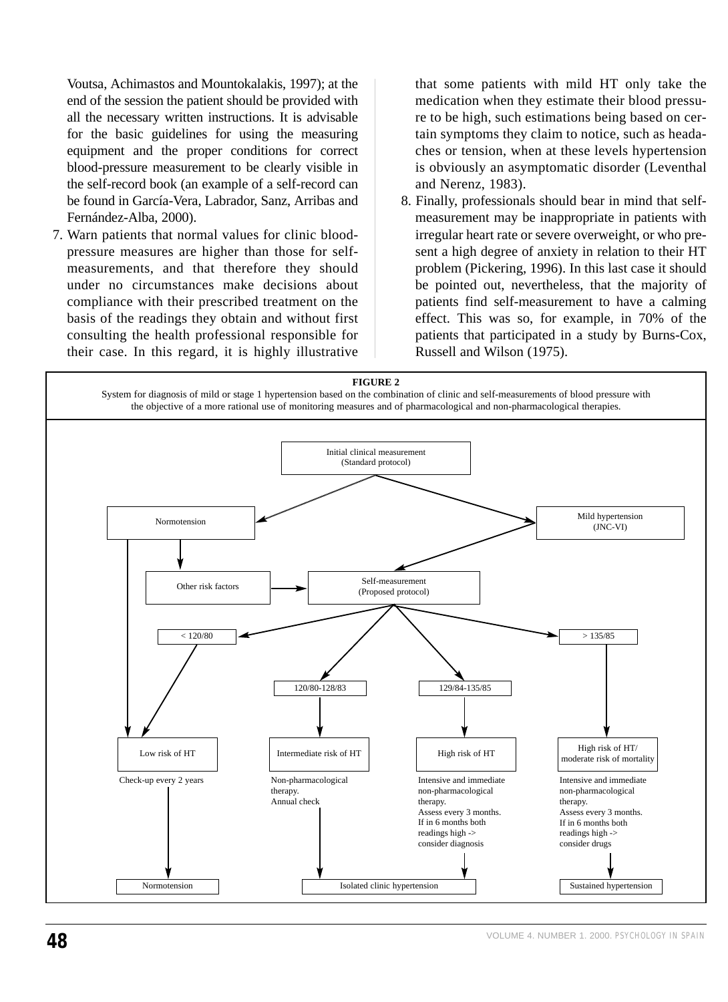Voutsa, Achimastos and Mountokalakis, 1997); at the end of the session the patient should be provided with all the necessary written instructions. It is advisable for the basic guidelines for using the measuring equipment and the proper conditions for correct blood-pressure measurement to be clearly visible in the self-record book (an example of a self-record can be found in García-Vera, Labrador, Sanz, Arribas and Fernández-Alba, 2000).

7. Warn patients that normal values for clinic bloodpressure measures are higher than those for selfmeasurements, and that therefore they should under no circumstances make decisions about compliance with their prescribed treatment on the basis of the readings they obtain and without first consulting the health professional responsible for their case. In this regard, it is highly illustrative

that some patients with mild HT only take the medication when they estimate their blood pressure to be high, such estimations being based on certain symptoms they claim to notice, such as headaches or tension, when at these levels hypertension is obviously an asymptomatic disorder (Leventhal and Nerenz, 1983).

8. Finally, professionals should bear in mind that selfmeasurement may be inappropriate in patients with irregular heart rate or severe overweight, or who present a high degree of anxiety in relation to their HT problem (Pickering, 1996). In this last case it should be pointed out, nevertheless, that the majority of patients find self-measurement to have a calming effect. This was so, for example, in 70% of the patients that participated in a study by Burns-Cox, Russell and Wilson (1975).

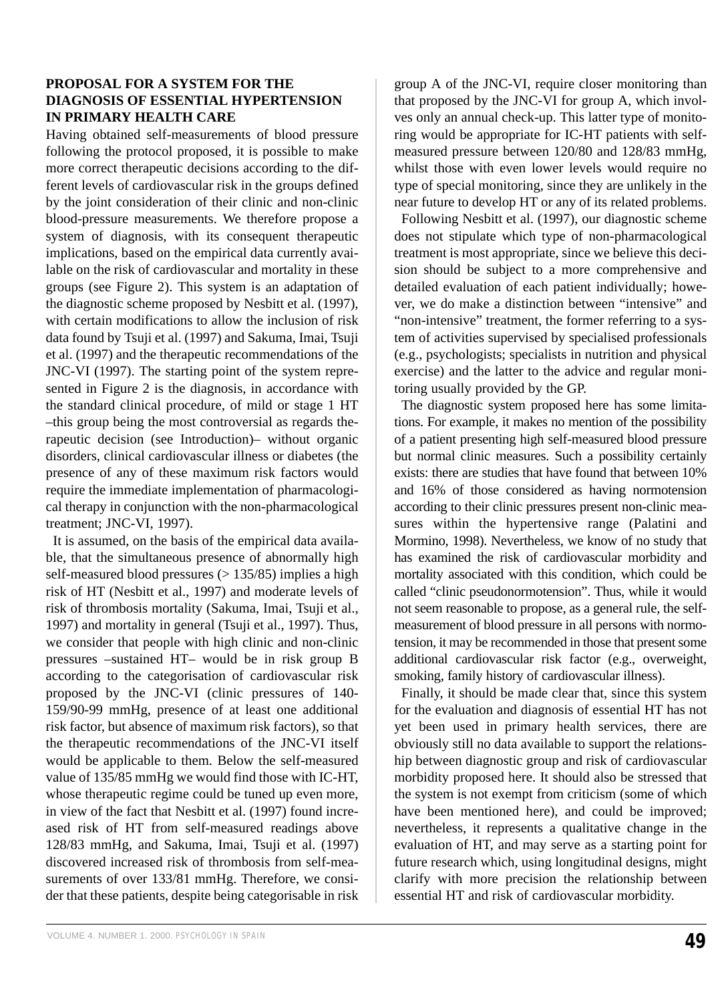#### **PROPOSAL FOR A SYSTEM FOR THE DIAGNOSIS OF ESSENTIAL HYPERTENSION IN PRIMARY HEALTH CARE**

Having obtained self-measurements of blood pressure following the protocol proposed, it is possible to make more correct therapeutic decisions according to the different levels of cardiovascular risk in the groups defined by the joint consideration of their clinic and non-clinic blood-pressure measurements. We therefore propose a system of diagnosis, with its consequent therapeutic implications, based on the empirical data currently available on the risk of cardiovascular and mortality in these groups (see Figure 2). This system is an adaptation of the diagnostic scheme proposed by Nesbitt et al. (1997), with certain modifications to allow the inclusion of risk data found by Tsuji et al. (1997) and Sakuma, Imai, Tsuji et al. (1997) and the therapeutic recommendations of the JNC-VI (1997). The starting point of the system represented in Figure 2 is the diagnosis, in accordance with the standard clinical procedure, of mild or stage 1 HT –this group being the most controversial as regards therapeutic decision (see Introduction)– without organic disorders, clinical cardiovascular illness or diabetes (the presence of any of these maximum risk factors would require the immediate implementation of pharmacological therapy in conjunction with the non-pharmacological treatment; JNC-VI, 1997).

It is assumed, on the basis of the empirical data available, that the simultaneous presence of abnormally high self-measured blood pressures  $(> 135/85)$  implies a high risk of HT (Nesbitt et al., 1997) and moderate levels of risk of thrombosis mortality (Sakuma, Imai, Tsuji et al., 1997) and mortality in general (Tsuji et al., 1997). Thus, we consider that people with high clinic and non-clinic pressures –sustained HT– would be in risk group B according to the categorisation of cardiovascular risk proposed by the JNC-VI (clinic pressures of 140- 159/90-99 mmHg, presence of at least one additional risk factor, but absence of maximum risk factors), so that the therapeutic recommendations of the JNC-VI itself would be applicable to them. Below the self-measured value of 135/85 mmHg we would find those with IC-HT, whose therapeutic regime could be tuned up even more, in view of the fact that Nesbitt et al. (1997) found increased risk of HT from self-measured readings above 128/83 mmHg, and Sakuma, Imai, Tsuji et al. (1997) discovered increased risk of thrombosis from self-measurements of over 133/81 mmHg. Therefore, we consider that these patients, despite being categorisable in risk group A of the JNC-VI, require closer monitoring than that proposed by the JNC-VI for group A, which involves only an annual check-up. This latter type of monitoring would be appropriate for IC-HT patients with selfmeasured pressure between 120/80 and 128/83 mmHg, whilst those with even lower levels would require no type of special monitoring, since they are unlikely in the near future to develop HT or any of its related problems.

Following Nesbitt et al. (1997), our diagnostic scheme does not stipulate which type of non-pharmacological treatment is most appropriate, since we believe this decision should be subject to a more comprehensive and detailed evaluation of each patient individually; however, we do make a distinction between "intensive" and "non-intensive" treatment, the former referring to a system of activities supervised by specialised professionals (e.g., psychologists; specialists in nutrition and physical exercise) and the latter to the advice and regular monitoring usually provided by the GP.

The diagnostic system proposed here has some limitations. For example, it makes no mention of the possibility of a patient presenting high self-measured blood pressure but normal clinic measures. Such a possibility certainly exists: there are studies that have found that between 10% and 16% of those considered as having normotension according to their clinic pressures present non-clinic measures within the hypertensive range (Palatini and Mormino, 1998). Nevertheless, we know of no study that has examined the risk of cardiovascular morbidity and mortality associated with this condition, which could be called "clinic pseudonormotension". Thus, while it would not seem reasonable to propose, as a general rule, the selfmeasurement of blood pressure in all persons with normotension, it may be recommended in those that present some additional cardiovascular risk factor (e.g., overweight, smoking, family history of cardiovascular illness).

Finally, it should be made clear that, since this system for the evaluation and diagnosis of essential HT has not yet been used in primary health services, there are obviously still no data available to support the relationship between diagnostic group and risk of cardiovascular morbidity proposed here. It should also be stressed that the system is not exempt from criticism (some of which have been mentioned here), and could be improved; nevertheless, it represents a qualitative change in the evaluation of HT, and may serve as a starting point for future research which, using longitudinal designs, might clarify with more precision the relationship between essential HT and risk of cardiovascular morbidity.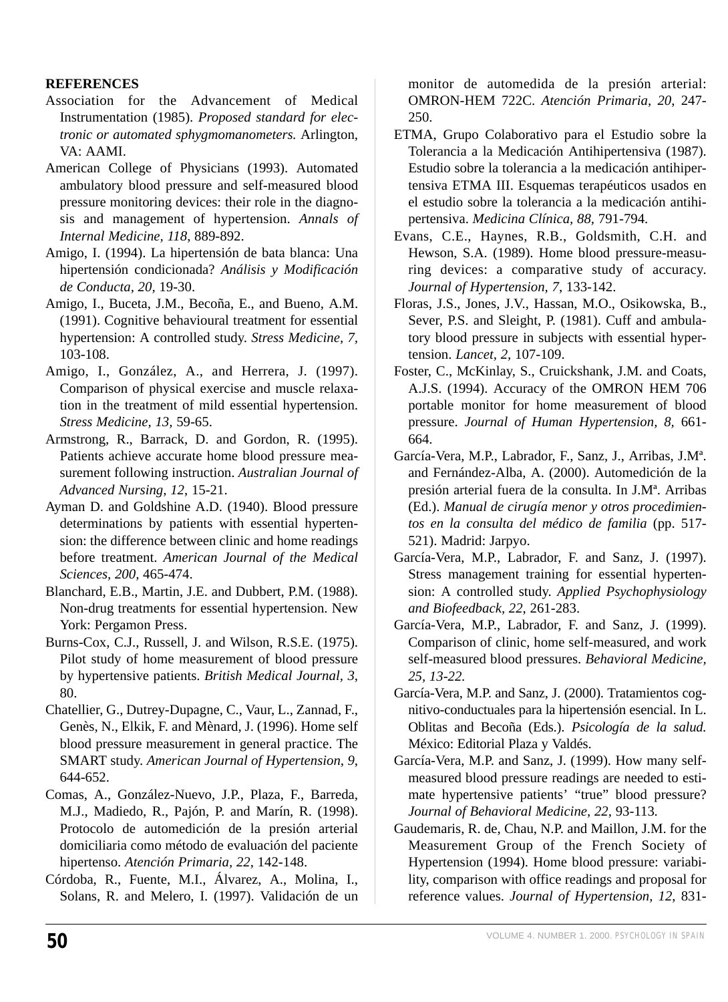# **REFERENCES**

- Association for the Advancement of Medical Instrumentation (1985). *Proposed standard for electronic or automated sphygmomanometers.* Arlington, VA: AAMI.
- American College of Physicians (1993). Automated ambulatory blood pressure and self-measured blood pressure monitoring devices: their role in the diagnosis and management of hypertension. *Annals of Internal Medicine, 118*, 889-892.
- Amigo, I. (1994). La hipertensión de bata blanca: Una hipertensión condicionada? *Análisis y Modificación de Conducta, 20,* 19-30.
- Amigo, I., Buceta, J.M., Becoña, E., and Bueno, A.M. (1991). Cognitive behavioural treatment for essential hypertension: A controlled study. *Stress Medicine, 7,* 103-108.
- Amigo, I., González, A., and Herrera, J. (1997). Comparison of physical exercise and muscle relaxation in the treatment of mild essential hypertension. *Stress Medicine, 13,* 59-65.
- Armstrong, R., Barrack, D. and Gordon, R. (1995). Patients achieve accurate home blood pressure measurement following instruction. *Australian Journal of Advanced Nursing, 12*, 15-21.
- Ayman D. and Goldshine A.D. (1940). Blood pressure determinations by patients with essential hypertension: the difference between clinic and home readings before treatment. *American Journal of the Medical Sciences, 200,* 465-474.
- Blanchard, E.B., Martin, J.E. and Dubbert, P.M. (1988). Non-drug treatments for essential hypertension. New York: Pergamon Press.
- Burns-Cox, C.J., Russell, J. and Wilson, R.S.E. (1975). Pilot study of home measurement of blood pressure by hypertensive patients. *British Medical Journal, 3*, 80.
- Chatellier, G., Dutrey-Dupagne, C., Vaur, L., Zannad, F., Genès, N., Elkik, F. and Mènard, J. (1996). Home self blood pressure measurement in general practice. The SMART study. *American Journal of Hypertension, 9*, 644-652.
- Comas, A., González-Nuevo, J.P., Plaza, F., Barreda, M.J., Madiedo, R., Pajón, P. and Marín, R. (1998). Protocolo de automedición de la presión arterial domiciliaria como método de evaluación del paciente hipertenso. *Atención Primaria, 22*, 142-148.
- Córdoba, R., Fuente, M.I., Álvarez, A., Molina, I., Solans, R. and Melero, I. (1997). Validación de un

monitor de automedida de la presión arterial: OMRON-HEM 722C. *Atención Primaria, 20*, 247- 250.

- ETMA, Grupo Colaborativo para el Estudio sobre la Tolerancia a la Medicación Antihipertensiva (1987). Estudio sobre la tolerancia a la medicación antihipertensiva ETMA III. Esquemas terapéuticos usados en el estudio sobre la tolerancia a la medicación antihipertensiva. *Medicina Clínica, 88,* 791-794.
- Evans, C.E., Haynes, R.B., Goldsmith, C.H. and Hewson, S.A. (1989). Home blood pressure-measuring devices: a comparative study of accuracy. *Journal of Hypertension, 7*, 133-142.
- Floras, J.S., Jones, J.V., Hassan, M.O., Osikowska, B., Sever, P.S. and Sleight, P. (1981). Cuff and ambulatory blood pressure in subjects with essential hypertension. *Lancet, 2,* 107-109.
- Foster, C., McKinlay, S., Cruickshank, J.M. and Coats, A.J.S. (1994). Accuracy of the OMRON HEM 706 portable monitor for home measurement of blood pressure. *Journal of Human Hypertension, 8,* 661- 664.
- García-Vera, M.P., Labrador, F., Sanz, J., Arribas, J.Mª. and Fernández-Alba, A. (2000). Automedición de la presión arterial fuera de la consulta. In J.Mª. Arribas (Ed.). *Manual de cirugía menor y otros procedimientos en la consulta del médico de familia* (pp. 517- 521). Madrid: Jarpyo.
- García-Vera, M.P., Labrador, F. and Sanz, J. (1997). Stress management training for essential hypertension: A controlled study. *Applied Psychophysiology and Biofeedback, 22*, 261-283.
- García-Vera, M.P., Labrador, F. and Sanz, J. (1999). Comparison of clinic, home self-measured, and work self-measured blood pressures. *Behavioral Medicine, 25, 13-22.*
- García-Vera, M.P. and Sanz, J. (2000). Tratamientos cognitivo-conductuales para la hipertensión esencial. In L. Oblitas and Becoña (Eds.). *Psicología de la salud.* México: Editorial Plaza y Valdés.
- García-Vera, M.P. and Sanz, J. (1999). How many selfmeasured blood pressure readings are needed to estimate hypertensive patients' "true" blood pressure? *Journal of Behavioral Medicine, 22,* 93-113*.*
- Gaudemaris, R. de, Chau, N.P. and Maillon, J.M. for the Measurement Group of the French Society of Hypertension (1994). Home blood pressure: variability, comparison with office readings and proposal for reference values. *Journal of Hypertension, 12*, 831-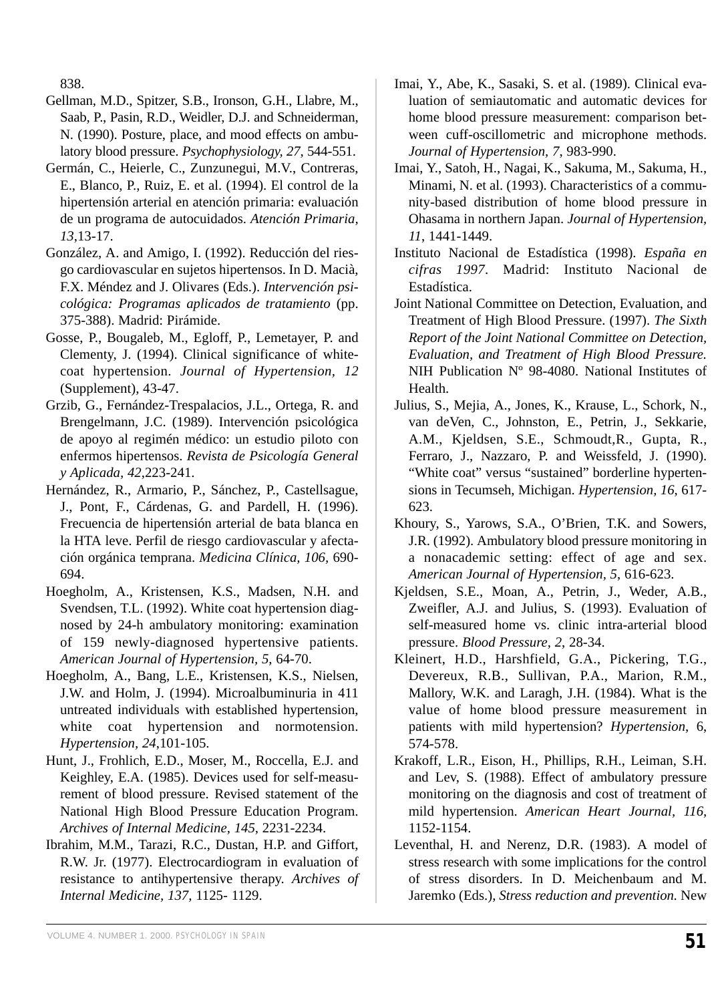838.

- Gellman, M.D., Spitzer, S.B., Ironson, G.H., Llabre, M., Saab, P., Pasin, R.D., Weidler, D.J. and Schneiderman, N. (1990). Posture, place, and mood effects on ambulatory blood pressure. *Psychophysiology, 27*, 544-551.
- Germán, C., Heierle, C., Zunzunegui, M.V., Contreras, E., Blanco, P., Ruiz, E. et al. (1994). El control de la hipertensión arterial en atención primaria: evaluación de un programa de autocuidados. *Atención Primaria, 13*,13-17.
- González, A. and Amigo, I. (1992). Reducción del riesgo cardiovascular en sujetos hipertensos. In D. Macià, F.X. Méndez and J. Olivares (Eds.). *Intervención psicológica: Programas aplicados de tratamiento* (pp. 375-388). Madrid: Pirámide.
- Gosse, P., Bougaleb, M., Egloff, P., Lemetayer, P. and Clementy, J. (1994). Clinical significance of whitecoat hypertension. *Journal of Hypertension, 12* (Supplement), 43-47.
- Grzib, G., Fernández-Trespalacios, J.L., Ortega, R. and Brengelmann, J.C. (1989). Intervención psicológica de apoyo al regimén médico: un estudio piloto con enfermos hipertensos. *Revista de Psicología General y Aplicada, 42*,223-241.
- Hernández, R., Armario, P., Sánchez, P., Castellsague, J., Pont, F., Cárdenas, G. and Pardell, H. (1996). Frecuencia de hipertensión arterial de bata blanca en la HTA leve. Perfil de riesgo cardiovascular y afectación orgánica temprana. *Medicina Clínica, 106,* 690- 694.
- Hoegholm, A., Kristensen, K.S., Madsen, N.H. and Svendsen, T.L. (1992). White coat hypertension diagnosed by 24-h ambulatory monitoring: examination of 159 newly-diagnosed hypertensive patients. *American Journal of Hypertension, 5*, 64-70.
- Hoegholm, A., Bang, L.E., Kristensen, K.S., Nielsen, J.W. and Holm, J. (1994). Microalbuminuria in 411 untreated individuals with established hypertension, white coat hypertension and normotension. *Hypertension, 24*,101-105.
- Hunt, J., Frohlich, E.D., Moser, M., Roccella, E.J. and Keighley, E.A. (1985). Devices used for self-measurement of blood pressure. Revised statement of the National High Blood Pressure Education Program. *Archives of Internal Medicine, 145,* 2231-2234.
- Ibrahim, M.M., Tarazi, R.C., Dustan, H.P. and Giffort, R.W. Jr. (1977). Electrocardiogram in evaluation of resistance to antihypertensive therapy. *Archives of Internal Medicine, 137,* 1125- 1129.
- Imai, Y., Abe, K., Sasaki, S. et al. (1989). Clinical evaluation of semiautomatic and automatic devices for home blood pressure measurement: comparison between cuff-oscillometric and microphone methods. *Journal of Hypertension, 7*, 983-990.
- Imai, Y., Satoh, H., Nagai, K., Sakuma, M., Sakuma, H., Minami, N. et al. (1993). Characteristics of a community-based distribution of home blood pressure in Ohasama in northern Japan. *Journal of Hypertension, 11*, 1441-1449.
- Instituto Nacional de Estadística (1998). *España en cifras 1997*. Madrid: Instituto Nacional de Estadística.
- Joint National Committee on Detection, Evaluation, and Treatment of High Blood Pressure. (1997). *The Sixth Report of the Joint National Committee on Detection, Evaluation, and Treatment of High Blood Pressure.* NIH Publication Nº 98-4080. National Institutes of Health.
- Julius, S., Mejia, A., Jones, K., Krause, L., Schork, N., van deVen, C., Johnston, E., Petrin, J., Sekkarie, A.M., Kjeldsen, S.E., Schmoudt,R., Gupta, R., Ferraro, J., Nazzaro, P. and Weissfeld, J. (1990). "White coat" versus "sustained" borderline hypertensions in Tecumseh, Michigan. *Hypertension, 16*, 617- 623.
- Khoury, S., Yarows, S.A., O'Brien, T.K. and Sowers, J.R. (1992). Ambulatory blood pressure monitoring in a nonacademic setting: effect of age and sex. *American Journal of Hypertension, 5*, 616-623.
- Kjeldsen, S.E., Moan, A., Petrin, J., Weder, A.B., Zweifler, A.J. and Julius, S. (1993). Evaluation of self-measured home vs. clinic intra-arterial blood pressure. *Blood Pressure, 2*, 28-34.
- Kleinert, H.D., Harshfield, G.A., Pickering, T.G., Devereux, R.B., Sullivan, P.A., Marion, R.M., Mallory, W.K. and Laragh, J.H. (1984). What is the value of home blood pressure measurement in patients with mild hypertension? *Hypertension,* 6, 574-578.
- Krakoff, L.R., Eison, H., Phillips, R.H., Leiman, S.H. and Lev, S. (1988). Effect of ambulatory pressure monitoring on the diagnosis and cost of treatment of mild hypertension. *American Heart Journal, 116,* 1152-1154.
- Leventhal, H. and Nerenz, D.R. (1983). A model of stress research with some implications for the control of stress disorders. In D. Meichenbaum and M. Jaremko (Eds.), *Stress reduction and prevention.* New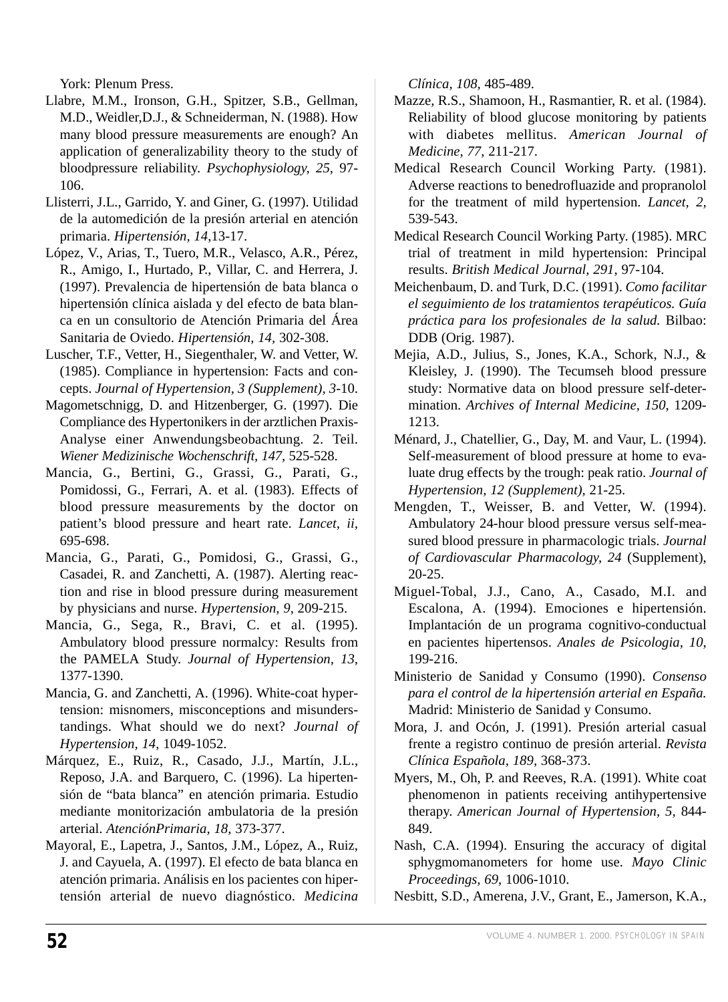York: Plenum Press.

- Llabre, M.M., Ironson, G.H., Spitzer, S.B., Gellman, M.D., Weidler,D.J., & Schneiderman, N. (1988). How many blood pressure measurements are enough? An application of generalizability theory to the study of bloodpressure reliability. *Psychophysiology, 25*, 97- 106.
- Llisterri, J.L., Garrido, Y. and Giner, G. (1997). Utilidad de la automedición de la presión arterial en atención primaria. *Hipertensión, 14*,13-17.
- López, V., Arias, T., Tuero, M.R., Velasco, A.R., Pérez, R., Amigo, I., Hurtado, P., Villar, C. and Herrera, J. (1997). Prevalencia de hipertensión de bata blanca o hipertensión clínica aislada y del efecto de bata blanca en un consultorio de Atención Primaria del Área Sanitaria de Oviedo. *Hipertensión, 14,* 302-308.
- Luscher, T.F., Vetter, H., Siegenthaler, W. and Vetter, W. (1985). Compliance in hypertension: Facts and concepts. *Journal of Hypertension, 3 (Supplement), 3*-10.
- Magometschnigg, D. and Hitzenberger, G. (1997). Die Compliance des Hypertonikers in der arztlichen Praxis-Analyse einer Anwendungsbeobachtung. 2. Teil. *Wiener Medizinische Wochenschrift, 147*, 525-528.
- Mancia, G., Bertini, G., Grassi, G., Parati, G., Pomidossi, G., Ferrari, A. et al. (1983). Effects of blood pressure measurements by the doctor on patient's blood pressure and heart rate. *Lancet, ii,* 695-698.
- Mancia, G., Parati, G., Pomidosi, G., Grassi, G., Casadei, R. and Zanchetti, A. (1987). Alerting reaction and rise in blood pressure during measurement by physicians and nurse. *Hypertension, 9*, 209-215.
- Mancia, G., Sega, R., Bravi, C. et al. (1995). Ambulatory blood pressure normalcy: Results from the PAMELA Study. *Journal of Hypertension, 13,* 1377-1390.
- Mancia, G. and Zanchetti, A. (1996). White-coat hypertension: misnomers, misconceptions and misunderstandings. What should we do next? *Journal of Hypertension, 14*, 1049-1052.
- Márquez, E., Ruiz, R., Casado, J.J., Martín, J.L., Reposo, J.A. and Barquero, C. (1996). La hipertensión de "bata blanca" en atención primaria. Estudio mediante monitorización ambulatoria de la presión arterial. *AtenciónPrimaria, 18,* 373-377.
- Mayoral, E., Lapetra, J., Santos, J.M., López, A., Ruiz, J. and Cayuela, A. (1997). El efecto de bata blanca en atención primaria. Análisis en los pacientes con hipertensión arterial de nuevo diagnóstico. *Medicina*

*Clínica, 108,* 485-489.

- Mazze, R.S., Shamoon, H., Rasmantier, R. et al. (1984). Reliability of blood glucose monitoring by patients with diabetes mellitus. *American Journal of Medicine, 77*, 211-217.
- Medical Research Council Working Party. (1981). Adverse reactions to benedrofluazide and propranolol for the treatment of mild hypertension. *Lancet, 2,* 539-543.
- Medical Research Council Working Party. (1985). MRC trial of treatment in mild hypertension: Principal results. *British Medical Journal, 291*, 97-104.
- Meichenbaum, D. and Turk, D.C. (1991). *Como facilitar el seguimiento de los tratamientos terapéuticos. Guía práctica para los profesionales de la salud.* Bilbao: DDB (Orig. 1987).
- Mejia, A.D., Julius, S., Jones, K.A., Schork, N.J., & Kleisley, J. (1990). The Tecumseh blood pressure study: Normative data on blood pressure self-determination. *Archives of Internal Medicine, 150*, 1209- 1213.
- Ménard, J., Chatellier, G., Day, M. and Vaur, L. (1994). Self-measurement of blood pressure at home to evaluate drug effects by the trough: peak ratio. *Journal of Hypertension, 12 (Supplement),* 21-25.
- Mengden, T., Weisser, B. and Vetter, W. (1994). Ambulatory 24-hour blood pressure versus self-measured blood pressure in pharmacologic trials. *Journal of Cardiovascular Pharmacology, 24* (Supplement), 20-25.
- Miguel-Tobal, J.J., Cano, A., Casado, M.I. and Escalona, A. (1994). Emociones e hipertensión. Implantación de un programa cognitivo-conductual en pacientes hipertensos. *Anales de Psicologia, 10*, 199-216.
- Ministerio de Sanidad y Consumo (1990). *Consenso para el control de la hipertensión arterial en España.* Madrid: Ministerio de Sanidad y Consumo.
- Mora, J. and Ocón, J. (1991). Presión arterial casual frente a registro continuo de presión arterial. *Revista Clínica Española, 189,* 368-373.
- Myers, M., Oh, P. and Reeves, R.A. (1991). White coat phenomenon in patients receiving antihypertensive therapy. *American Journal of Hypertension, 5,* 844- 849.
- Nash, C.A. (1994). Ensuring the accuracy of digital sphygmomanometers for home use. *Mayo Clinic Proceedings, 69*, 1006-1010.
- Nesbitt, S.D., Amerena, J.V., Grant, E., Jamerson, K.A.,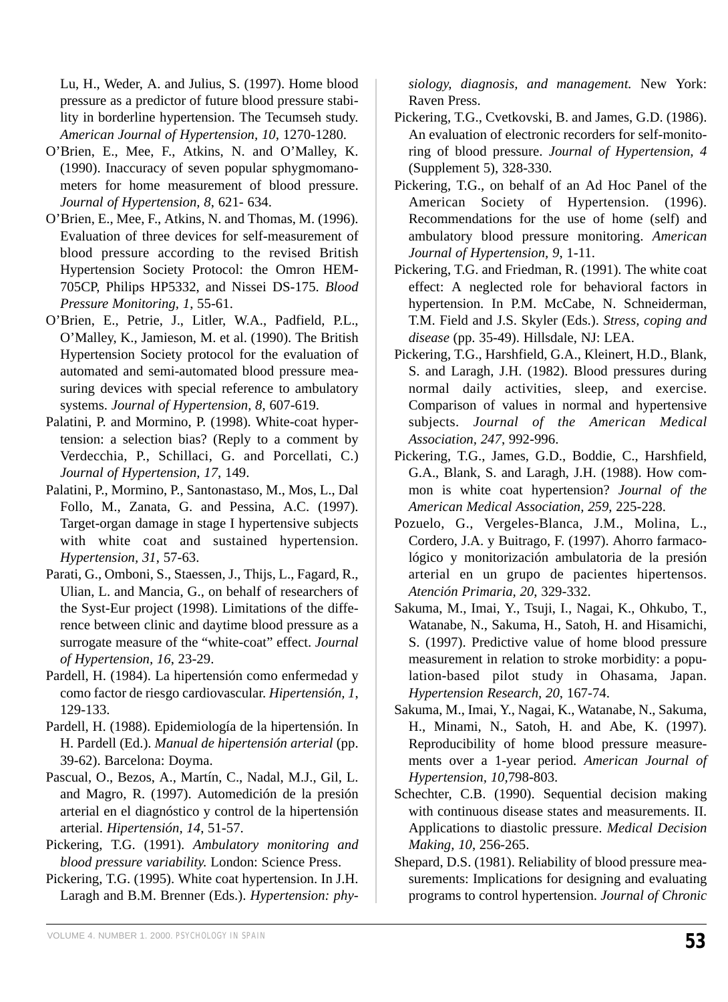Lu, H., Weder, A. and Julius, S. (1997). Home blood pressure as a predictor of future blood pressure stability in borderline hypertension. The Tecumseh study. *American Journal of Hypertension, 10,* 1270-1280.

- O'Brien, E., Mee, F., Atkins, N. and O'Malley, K. (1990). Inaccuracy of seven popular sphygmomanometers for home measurement of blood pressure. *Journal of Hypertension, 8*, 621- 634.
- O'Brien, E., Mee, F., Atkins, N. and Thomas, M. (1996). Evaluation of three devices for self-measurement of blood pressure according to the revised British Hypertension Society Protocol: the Omron HEM-705CP, Philips HP5332, and Nissei DS-175. *Blood Pressure Monitoring, 1*, 55-61.
- O'Brien, E., Petrie, J., Litler, W.A., Padfield, P.L., O'Malley, K., Jamieson, M. et al. (1990). The British Hypertension Society protocol for the evaluation of automated and semi-automated blood pressure measuring devices with special reference to ambulatory systems. *Journal of Hypertension, 8*, 607-619.
- Palatini, P. and Mormino, P. (1998). White-coat hypertension: a selection bias? (Reply to a comment by Verdecchia, P., Schillaci, G. and Porcellati, C.) *Journal of Hypertension, 17*, 149.
- Palatini, P., Mormino, P., Santonastaso, M., Mos, L., Dal Follo, M., Zanata, G. and Pessina, A.C. (1997). Target-organ damage in stage I hypertensive subjects with white coat and sustained hypertension. *Hypertension, 31*, 57-63.
- Parati, G., Omboni, S., Staessen, J., Thijs, L., Fagard, R., Ulian, L. and Mancia, G., on behalf of researchers of the Syst-Eur project (1998). Limitations of the difference between clinic and daytime blood pressure as a surrogate measure of the "white-coat" effect. *Journal of Hypertension, 16*, 23-29.
- Pardell, H. (1984). La hipertensión como enfermedad y como factor de riesgo cardiovascular. *Hipertensión, 1*, 129-133.
- Pardell, H. (1988). Epidemiología de la hipertensión. In H. Pardell (Ed.). *Manual de hipertensión arterial* (pp. 39-62). Barcelona: Doyma.
- Pascual, O., Bezos, A., Martín, C., Nadal, M.J., Gil, L. and Magro, R. (1997). Automedición de la presión arterial en el diagnóstico y control de la hipertensión arterial. *Hipertensión, 14*, 51-57.
- Pickering, T.G. (1991). *Ambulatory monitoring and blood pressure variability.* London: Science Press.
- Pickering, T.G. (1995). White coat hypertension. In J.H. Laragh and B.M. Brenner (Eds.). *Hypertension: phy-*

*siology, diagnosis, and management.* New York: Raven Press.

- Pickering, T.G., Cvetkovski, B. and James, G.D. (1986). An evaluation of electronic recorders for self-monitoring of blood pressure. *Journal of Hypertension, 4* (Supplement 5), 328-330.
- Pickering, T.G., on behalf of an Ad Hoc Panel of the American Society of Hypertension. (1996). Recommendations for the use of home (self) and ambulatory blood pressure monitoring. *American Journal of Hypertension, 9*, 1-11.
- Pickering, T.G. and Friedman, R. (1991). The white coat effect: A neglected role for behavioral factors in hypertension. In P.M. McCabe, N. Schneiderman, T.M. Field and J.S. Skyler (Eds.). *Stress, coping and disease* (pp. 35-49). Hillsdale, NJ: LEA.
- Pickering, T.G., Harshfield, G.A., Kleinert, H.D., Blank, S. and Laragh, J.H. (1982). Blood pressures during normal daily activities, sleep, and exercise. Comparison of values in normal and hypertensive subjects. *Journal of the American Medical Association, 247*, 992-996.
- Pickering, T.G., James, G.D., Boddie, C., Harshfield, G.A., Blank, S. and Laragh, J.H. (1988). How common is white coat hypertension? *Journal of the American Medical Association, 259*, 225-228.
- Pozuelo, G., Vergeles-Blanca, J.M., Molina, L., Cordero, J.A. y Buitrago, F. (1997). Ahorro farmacológico y monitorización ambulatoria de la presión arterial en un grupo de pacientes hipertensos. *Atención Primaria, 20*, 329-332.
- Sakuma, M., Imai, Y., Tsuji, I., Nagai, K., Ohkubo, T., Watanabe, N., Sakuma, H., Satoh, H. and Hisamichi, S. (1997). Predictive value of home blood pressure measurement in relation to stroke morbidity: a population-based pilot study in Ohasama, Japan. *Hypertension Research, 20*, 167-74.
- Sakuma, M., Imai, Y., Nagai, K., Watanabe, N., Sakuma, H., Minami, N., Satoh, H. and Abe, K. (1997). Reproducibility of home blood pressure measurements over a 1-year period. *American Journal of Hypertension, 10*,798-803.
- Schechter, C.B. (1990). Sequential decision making with continuous disease states and measurements. II. Applications to diastolic pressure. *Medical Decision Making, 10*, 256-265.
- Shepard, D.S. (1981). Reliability of blood pressure measurements: Implications for designing and evaluating programs to control hypertension. *Journal of Chronic*